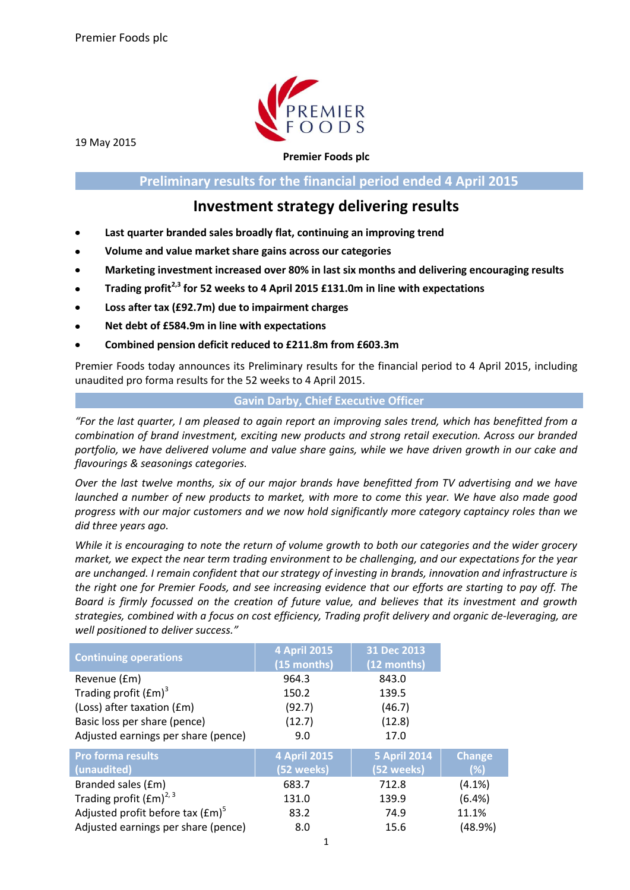

19 May 2015

**Premier Foods plc**

**Preliminary results for the financial period ended 4 April 2015**

## **Investment strategy delivering results**

- **Last quarter branded sales broadly flat, continuing an improving trend**
- **Volume and value market share gains across our categories**
- **Marketing investment increased over 80% in last six months and delivering encouraging results**
- **Trading profit2,3 for 52 weeks to 4 April 2015 £131.0m in line with expectations**  $\bullet$
- **Loss after tax (£92.7m) due to impairment charges**  $\bullet$
- **Net debt of £584.9m in line with expectations**
- **Combined pension deficit reduced to £211.8m from £603.3m**

Premier Foods today announces its Preliminary results for the financial period to 4 April 2015, including unaudited pro forma results for the 52 weeks to 4 April 2015.

## **Gavin Darby, Chief Executive Officer**

*"For the last quarter, I am pleased to again report an improving sales trend, which has benefitted from a combination of brand investment, exciting new products and strong retail execution. Across our branded portfolio, we have delivered volume and value share gains, while we have driven growth in our cake and flavourings & seasonings categories.*

*Over the last twelve months, six of our major brands have benefitted from TV advertising and we have launched a number of new products to market, with more to come this year. We have also made good progress with our major customers and we now hold significantly more category captaincy roles than we did three years ago.*

*While it is encouraging to note the return of volume growth to both our categories and the wider grocery market, we expect the near term trading environment to be challenging, and our expectations for the year are unchanged. I remain confident that our strategy of investing in brands, innovation and infrastructure is the right one for Premier Foods, and see increasing evidence that our efforts are starting to pay off. The Board is firmly focussed on the creation of future value, and believes that its investment and growth strategies, combined with a focus on cost efficiency, Trading profit delivery and organic de-leveraging, are well positioned to deliver success."*

|                                     | <b>4 April 2015</b> | 31 Dec 2013         |               |
|-------------------------------------|---------------------|---------------------|---------------|
| <b>Continuing operations</b>        | (15 months)         | (12 months)         |               |
| Revenue (£m)                        | 964.3               | 843.0               |               |
| Trading profit $(fm)^3$             | 150.2               | 139.5               |               |
| (Loss) after taxation (£m)          | (92.7)              | (46.7)              |               |
| Basic loss per share (pence)        | (12.7)              | (12.8)              |               |
| Adjusted earnings per share (pence) | 9.0                 | 17.0                |               |
| <b>Pro forma results</b>            | 4 April 2015        | <b>5 April 2014</b> | <b>Change</b> |
| (unaudited)                         | (52 weeks)          | (52 weeks)          | (%)           |
| Branded sales (£m)                  | 683.7               | 712.8               | $(4.1\%)$     |
| Trading profit $(fm)^{2,3}$         | 131.0               | 139.9               | (6.4%)        |
| Adjusted profit before tax $(fm)^5$ | 83.2                | 74.9                | 11.1%         |
| Adjusted earnings per share (pence) | 8.0                 | 15.6                | (48.9%)       |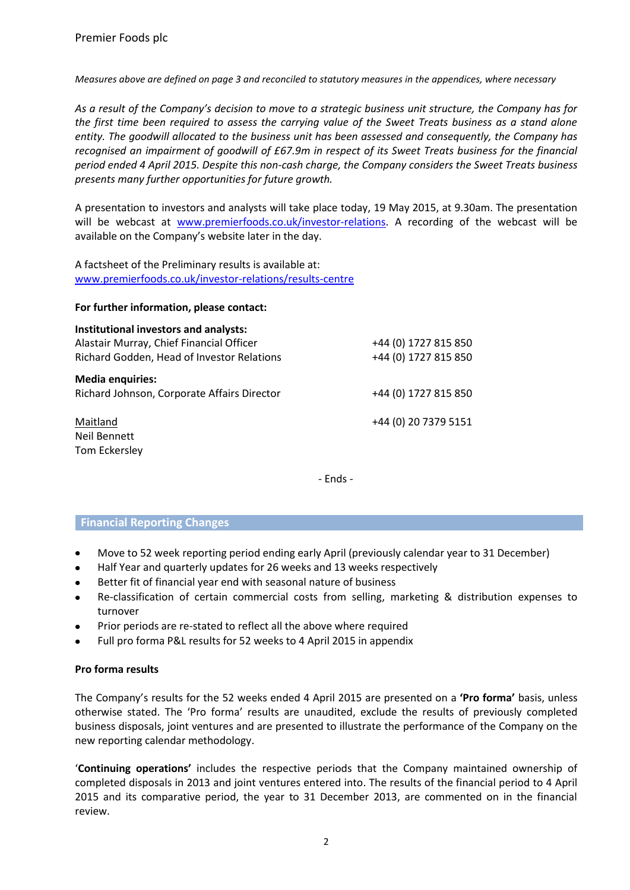*Measures above are defined on page 3 and reconciled to statutory measures in the appendices, where necessary*

*As a result of the Company's decision to move to a strategic business unit structure, the Company has for the first time been required to assess the carrying value of the Sweet Treats business as a stand alone entity. The goodwill allocated to the business unit has been assessed and consequently, the Company has recognised an impairment of goodwill of £67.9m in respect of its Sweet Treats business for the financial period ended 4 April 2015. Despite this non-cash charge, the Company considers the Sweet Treats business presents many further opportunities for future growth.*

A presentation to investors and analysts will take place today, 19 May 2015, at 9.30am. The presentation will be webcast at [www.premierfoods.co.uk/investor-relations.](http://www.premierfoods.co.uk/) A recording of the webcast will be available on the Company's website later in the day.

A factsheet of the Preliminary results is available at: [www.premierfoods.co.uk/investor-relations/results-centre](http://www.premierfoods.co.uk/investor-relations/results-centre)

#### **For further information, please contact:**

| Institutional investors and analysts:<br>Alastair Murray, Chief Financial Officer<br>Richard Godden, Head of Investor Relations | +44 (0) 1727 815 850<br>+44 (0) 1727 815 850 |
|---------------------------------------------------------------------------------------------------------------------------------|----------------------------------------------|
| <b>Media enquiries:</b><br>Richard Johnson, Corporate Affairs Director                                                          | +44 (0) 1727 815 850                         |
| Maitland<br>Neil Bennett<br>Tom Eckersley                                                                                       | +44 (0) 20 7379 5151                         |

- Ends -

#### **Financial Reporting Changes**

- Move to 52 week reporting period ending early April (previously calendar year to 31 December)  $\bullet$
- Half Year and quarterly updates for 26 weeks and 13 weeks respectively  $\bullet$
- $\bullet$ Better fit of financial year end with seasonal nature of business
- Re-classification of certain commercial costs from selling, marketing & distribution expenses to turnover
- Prior periods are re-stated to reflect all the above where required
- Full pro forma P&L results for 52 weeks to 4 April 2015 in appendix

#### **Pro forma results**

The Company's results for the 52 weeks ended 4 April 2015 are presented on a **'Pro forma'** basis, unless otherwise stated. The 'Pro forma' results are unaudited, exclude the results of previously completed business disposals, joint ventures and are presented to illustrate the performance of the Company on the new reporting calendar methodology.

'**Continuing operations'** includes the respective periods that the Company maintained ownership of completed disposals in 2013 and joint ventures entered into. The results of the financial period to 4 April 2015 and its comparative period, the year to 31 December 2013, are commented on in the financial review.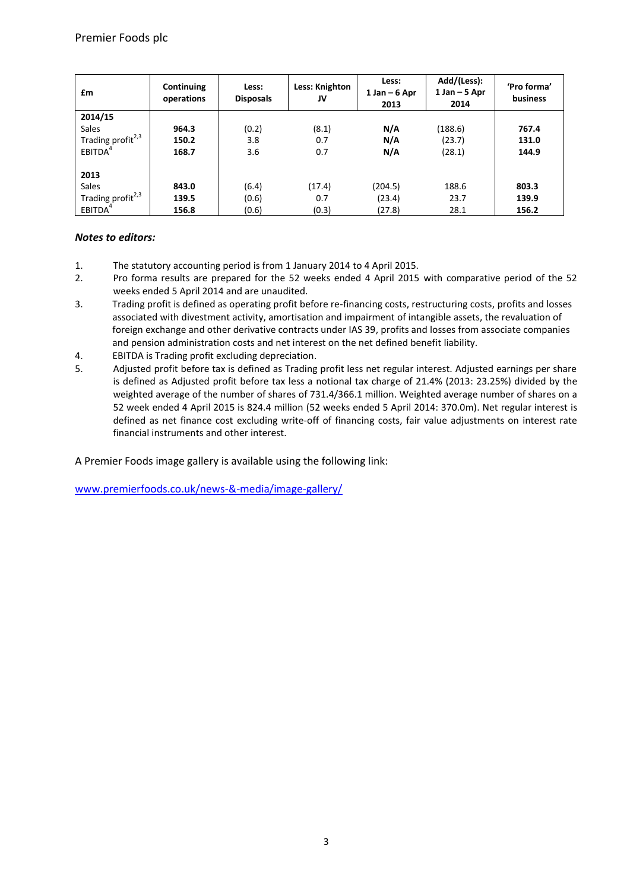| £m                            | Continuing<br>operations | Less:<br><b>Disposals</b> | Less: Knighton<br>JV | Less:<br>$1 Jan - 6 Apr$<br>2013 | Add/(Less):<br>$1$ Jan $-5$ Apr<br>2014 | 'Pro forma'<br>business |
|-------------------------------|--------------------------|---------------------------|----------------------|----------------------------------|-----------------------------------------|-------------------------|
| 2014/15                       |                          |                           |                      |                                  |                                         |                         |
| Sales                         | 964.3                    | (0.2)                     | (8.1)                | N/A                              | (188.6)                                 | 767.4                   |
| Trading profit <sup>2,3</sup> | 150.2                    | 3.8                       | 0.7                  | N/A                              | (23.7)                                  | 131.0                   |
| EBITDA <sup>4</sup>           | 168.7                    | 3.6                       | 0.7                  | N/A                              | (28.1)                                  | 144.9                   |
|                               |                          |                           |                      |                                  |                                         |                         |
| 2013                          |                          |                           |                      |                                  |                                         |                         |
| Sales                         | 843.0                    | (6.4)                     | (17.4)               | (204.5)                          | 188.6                                   | 803.3                   |
| Trading profit <sup>2,3</sup> | 139.5                    | (0.6)                     | 0.7                  | (23.4)                           | 23.7                                    | 139.9                   |
| EBITDA <sup>4</sup>           | 156.8                    | (0.6)                     | (0.3)                | (27.8)                           | 28.1                                    | 156.2                   |

## *Notes to editors:*

- 1. The statutory accounting period is from 1 January 2014 to 4 April 2015.
- 2. Pro forma results are prepared for the 52 weeks ended 4 April 2015 with comparative period of the 52 weeks ended 5 April 2014 and are unaudited.
- 3. Trading profit is defined as operating profit before re-financing costs, restructuring costs, profits and losses associated with divestment activity, amortisation and impairment of intangible assets, the revaluation of foreign exchange and other derivative contracts under IAS 39, profits and losses from associate companies and pension administration costs and net interest on the net defined benefit liability.
- 4. EBITDA is Trading profit excluding depreciation.
- 5. Adjusted profit before tax is defined as Trading profit less net regular interest. Adjusted earnings per share is defined as Adjusted profit before tax less a notional tax charge of 21.4% (2013: 23.25%) divided by the weighted average of the number of shares of 731.4/366.1 million. Weighted average number of shares on a 52 week ended 4 April 2015 is 824.4 million (52 weeks ended 5 April 2014: 370.0m). Net regular interest is defined as net finance cost excluding write-off of financing costs, fair value adjustments on interest rate financial instruments and other interest.

A Premier Foods image gallery is available using the following link:

<www.premierfoods.co.uk/news-&-media/image-gallery/>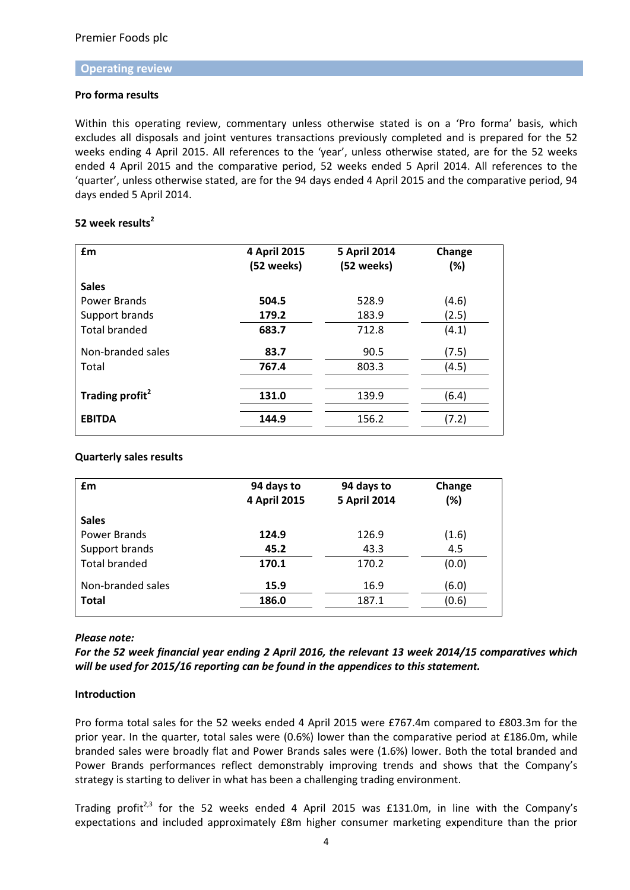#### **Operating review**

## **Pro forma results**

Within this operating review, commentary unless otherwise stated is on a 'Pro forma' basis, which excludes all disposals and joint ventures transactions previously completed and is prepared for the 52 weeks ending 4 April 2015. All references to the 'year', unless otherwise stated, are for the 52 weeks ended 4 April 2015 and the comparative period, 52 weeks ended 5 April 2014. All references to the 'quarter', unless otherwise stated, are for the 94 days ended 4 April 2015 and the comparative period, 94 days ended 5 April 2014.

## **52 week results<sup>2</sup>**

| £m                          | 4 April 2015<br>(52 weeks) | <b>5 April 2014</b><br>(52 weeks) | Change<br>(%) |
|-----------------------------|----------------------------|-----------------------------------|---------------|
| <b>Sales</b>                |                            |                                   |               |
| Power Brands                | 504.5                      | 528.9                             | (4.6)         |
| Support brands              | 179.2                      | 183.9                             | (2.5)         |
| <b>Total branded</b>        | 683.7                      | 712.8                             | (4.1)         |
| Non-branded sales           | 83.7                       | 90.5                              | (7.5)         |
| Total                       | 767.4                      | 803.3                             | (4.5)         |
|                             |                            |                                   |               |
| Trading profit <sup>2</sup> | 131.0                      | 139.9                             | (6.4)         |
| <b>EBITDA</b>               | 144.9                      | 156.2                             | (7.2)         |

## **Quarterly sales results**

| £m                   | 94 days to<br>4 April 2015 | 94 days to<br><b>5 April 2014</b> | Change<br>(%) |
|----------------------|----------------------------|-----------------------------------|---------------|
| <b>Sales</b>         |                            |                                   |               |
| Power Brands         | 124.9                      | 126.9                             | (1.6)         |
| Support brands       | 45.2                       | 43.3                              | 4.5           |
| <b>Total branded</b> | 170.1                      | 170.2                             | (0.0)         |
| Non-branded sales    | 15.9                       | 16.9                              | (6.0)         |
| <b>Total</b>         | 186.0                      | 187.1                             | (0.6)         |

#### *Please note:*

*For the 52 week financial year ending 2 April 2016, the relevant 13 week 2014/15 comparatives which will be used for 2015/16 reporting can be found in the appendices to this statement.*

## **Introduction**

Pro forma total sales for the 52 weeks ended 4 April 2015 were £767.4m compared to £803.3m for the prior year. In the quarter, total sales were (0.6%) lower than the comparative period at £186.0m, while branded sales were broadly flat and Power Brands sales were (1.6%) lower. Both the total branded and Power Brands performances reflect demonstrably improving trends and shows that the Company's strategy is starting to deliver in what has been a challenging trading environment.

Trading profit<sup>2,3</sup> for the 52 weeks ended 4 April 2015 was £131.0m, in line with the Company's expectations and included approximately £8m higher consumer marketing expenditure than the prior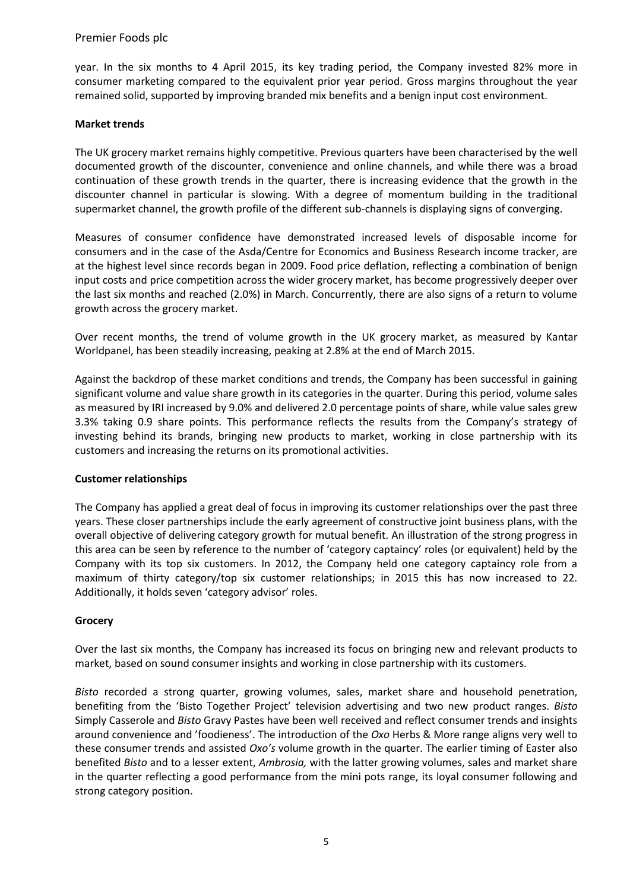year. In the six months to 4 April 2015, its key trading period, the Company invested 82% more in consumer marketing compared to the equivalent prior year period. Gross margins throughout the year remained solid, supported by improving branded mix benefits and a benign input cost environment.

#### **Market trends**

The UK grocery market remains highly competitive. Previous quarters have been characterised by the well documented growth of the discounter, convenience and online channels, and while there was a broad continuation of these growth trends in the quarter, there is increasing evidence that the growth in the discounter channel in particular is slowing. With a degree of momentum building in the traditional supermarket channel, the growth profile of the different sub-channels is displaying signs of converging.

Measures of consumer confidence have demonstrated increased levels of disposable income for consumers and in the case of the Asda/Centre for Economics and Business Research income tracker, are at the highest level since records began in 2009. Food price deflation, reflecting a combination of benign input costs and price competition across the wider grocery market, has become progressively deeper over the last six months and reached (2.0%) in March. Concurrently, there are also signs of a return to volume growth across the grocery market.

Over recent months, the trend of volume growth in the UK grocery market, as measured by Kantar Worldpanel, has been steadily increasing, peaking at 2.8% at the end of March 2015.

Against the backdrop of these market conditions and trends, the Company has been successful in gaining significant volume and value share growth in its categories in the quarter. During this period, volume sales as measured by IRI increased by 9.0% and delivered 2.0 percentage points of share, while value sales grew 3.3% taking 0.9 share points. This performance reflects the results from the Company's strategy of investing behind its brands, bringing new products to market, working in close partnership with its customers and increasing the returns on its promotional activities.

## **Customer relationships**

The Company has applied a great deal of focus in improving its customer relationships over the past three years. These closer partnerships include the early agreement of constructive joint business plans, with the overall objective of delivering category growth for mutual benefit. An illustration of the strong progress in this area can be seen by reference to the number of 'category captaincy' roles (or equivalent) held by the Company with its top six customers. In 2012, the Company held one category captaincy role from a maximum of thirty category/top six customer relationships; in 2015 this has now increased to 22. Additionally, it holds seven 'category advisor' roles.

#### **Grocery**

Over the last six months, the Company has increased its focus on bringing new and relevant products to market, based on sound consumer insights and working in close partnership with its customers.

*Bisto* recorded a strong quarter, growing volumes, sales, market share and household penetration, benefiting from the 'Bisto Together Project' television advertising and two new product ranges. *Bisto* Simply Casserole and *Bisto* Gravy Pastes have been well received and reflect consumer trends and insights around convenience and 'foodieness'. The introduction of the *Oxo* Herbs & More range aligns very well to these consumer trends and assisted *Oxo's* volume growth in the quarter. The earlier timing of Easter also benefited *Bisto* and to a lesser extent, *Ambrosia,* with the latter growing volumes, sales and market share in the quarter reflecting a good performance from the mini pots range, its loyal consumer following and strong category position.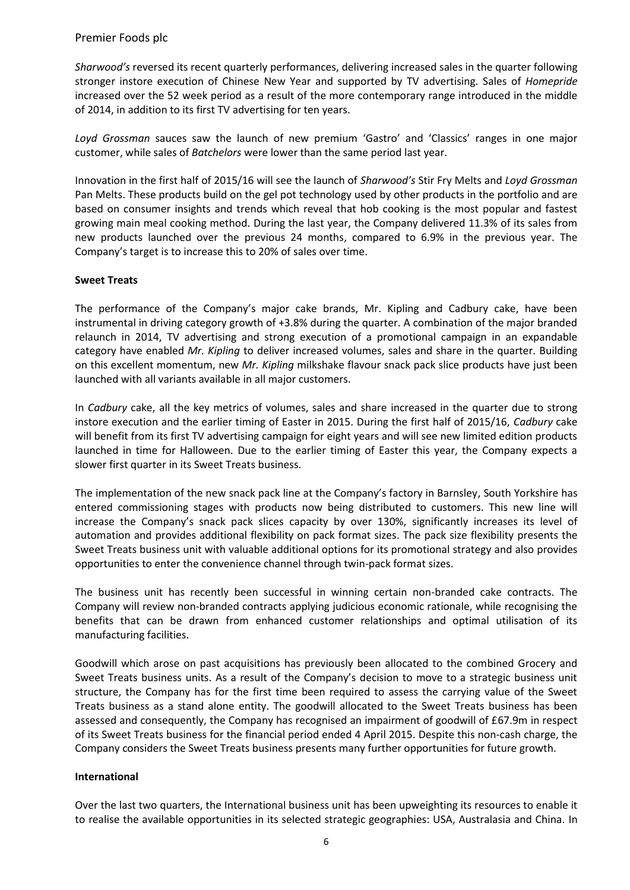*Sharwood's* reversed its recent quarterly performances, delivering increased sales in the quarter following stronger instore execution of Chinese New Year and supported by TV advertising. Sales of *Homepride* increased over the 52 week period as a result of the more contemporary range introduced in the middle of 2014, in addition to its first TV advertising for ten years.

*Loyd Grossman* sauces saw the launch of new premium 'Gastro' and 'Classics' ranges in one major customer, while sales of *Batchelors* were lower than the same period last year.

Innovation in the first half of 2015/16 will see the launch of *Sharwood's* Stir Fry Melts and *Loyd Grossman* Pan Melts. These products build on the gel pot technology used by other products in the portfolio and are based on consumer insights and trends which reveal that hob cooking is the most popular and fastest growing main meal cooking method. During the last year, the Company delivered 11.3% of its sales from new products launched over the previous 24 months, compared to 6.9% in the previous year. The Company's target is to increase this to 20% of sales over time.

#### **Sweet Treats**

The performance of the Company's major cake brands, Mr. Kipling and Cadbury cake, have been instrumental in driving category growth of +3.8% during the quarter. A combination of the major branded relaunch in 2014, TV advertising and strong execution of a promotional campaign in an expandable category have enabled *Mr. Kipling* to deliver increased volumes, sales and share in the quarter. Building on this excellent momentum, new *Mr. Kipling* milkshake flavour snack pack slice products have just been launched with all variants available in all major customers.

In *Cadbury* cake, all the key metrics of volumes, sales and share increased in the quarter due to strong instore execution and the earlier timing of Easter in 2015. During the first half of 2015/16, *Cadbury* cake will benefit from its first TV advertising campaign for eight years and will see new limited edition products launched in time for Halloween. Due to the earlier timing of Easter this year, the Company expects a slower first quarter in its Sweet Treats business.

The implementation of the new snack pack line at the Company's factory in Barnsley, South Yorkshire has entered commissioning stages with products now being distributed to customers. This new line will increase the Company's snack pack slices capacity by over 130%, significantly increases its level of automation and provides additional flexibility on pack format sizes. The pack size flexibility presents the Sweet Treats business unit with valuable additional options for its promotional strategy and also provides opportunities to enter the convenience channel through twin-pack format sizes.

The business unit has recently been successful in winning certain non-branded cake contracts. The Company will review non-branded contracts applying judicious economic rationale, while recognising the benefits that can be drawn from enhanced customer relationships and optimal utilisation of its manufacturing facilities.

Goodwill which arose on past acquisitions has previously been allocated to the combined Grocery and Sweet Treats business units. As a result of the Company's decision to move to a strategic business unit structure, the Company has for the first time been required to assess the carrying value of the Sweet Treats business as a stand alone entity. The goodwill allocated to the Sweet Treats business has been assessed and consequently, the Company has recognised an impairment of goodwill of £67.9m in respect of its Sweet Treats business for the financial period ended 4 April 2015. Despite this non-cash charge, the Company considers the Sweet Treats business presents many further opportunities for future growth.

#### **International**

Over the last two quarters, the International business unit has been upweighting its resources to enable it to realise the available opportunities in its selected strategic geographies: USA, Australasia and China. In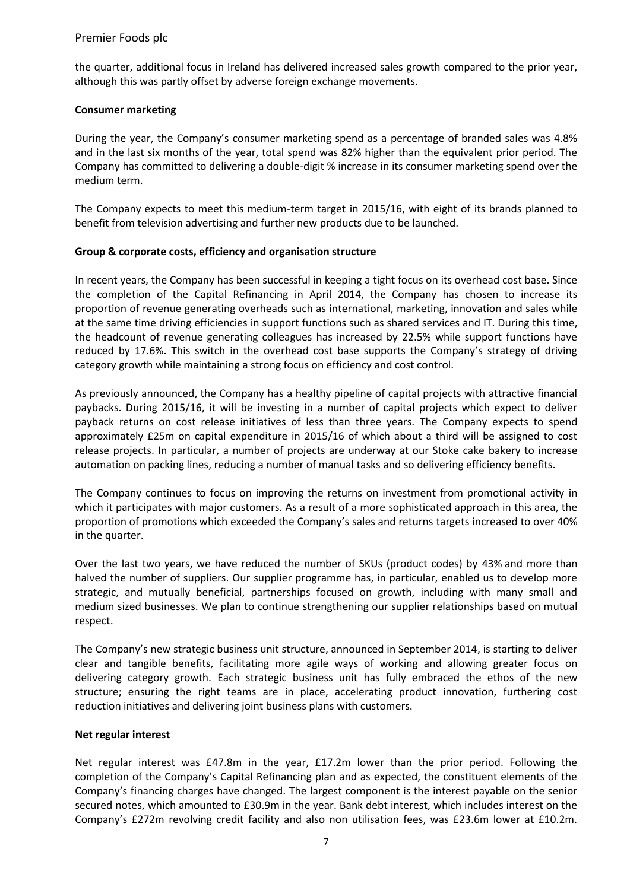the quarter, additional focus in Ireland has delivered increased sales growth compared to the prior year, although this was partly offset by adverse foreign exchange movements.

## **Consumer marketing**

During the year, the Company's consumer marketing spend as a percentage of branded sales was 4.8% and in the last six months of the year, total spend was 82% higher than the equivalent prior period. The Company has committed to delivering a double-digit % increase in its consumer marketing spend over the medium term.

The Company expects to meet this medium-term target in 2015/16, with eight of its brands planned to benefit from television advertising and further new products due to be launched.

## **Group & corporate costs, efficiency and organisation structure**

In recent years, the Company has been successful in keeping a tight focus on its overhead cost base. Since the completion of the Capital Refinancing in April 2014, the Company has chosen to increase its proportion of revenue generating overheads such as international, marketing, innovation and sales while at the same time driving efficiencies in support functions such as shared services and IT. During this time, the headcount of revenue generating colleagues has increased by 22.5% while support functions have reduced by 17.6%. This switch in the overhead cost base supports the Company's strategy of driving category growth while maintaining a strong focus on efficiency and cost control.

As previously announced, the Company has a healthy pipeline of capital projects with attractive financial paybacks. During 2015/16, it will be investing in a number of capital projects which expect to deliver payback returns on cost release initiatives of less than three years. The Company expects to spend approximately £25m on capital expenditure in 2015/16 of which about a third will be assigned to cost release projects. In particular, a number of projects are underway at our Stoke cake bakery to increase automation on packing lines, reducing a number of manual tasks and so delivering efficiency benefits.

The Company continues to focus on improving the returns on investment from promotional activity in which it participates with major customers. As a result of a more sophisticated approach in this area, the proportion of promotions which exceeded the Company's sales and returns targets increased to over 40% in the quarter.

Over the last two years, we have reduced the number of SKUs (product codes) by 43% and more than halved the number of suppliers. Our supplier programme has, in particular, enabled us to develop more strategic, and mutually beneficial, partnerships focused on growth, including with many small and medium sized businesses. We plan to continue strengthening our supplier relationships based on mutual respect.

The Company's new strategic business unit structure, announced in September 2014, is starting to deliver clear and tangible benefits, facilitating more agile ways of working and allowing greater focus on delivering category growth. Each strategic business unit has fully embraced the ethos of the new structure; ensuring the right teams are in place, accelerating product innovation, furthering cost reduction initiatives and delivering joint business plans with customers.

#### **Net regular interest**

Net regular interest was £47.8m in the year, £17.2m lower than the prior period. Following the completion of the Company's Capital Refinancing plan and as expected, the constituent elements of the Company's financing charges have changed. The largest component is the interest payable on the senior secured notes, which amounted to £30.9m in the year. Bank debt interest, which includes interest on the Company's £272m revolving credit facility and also non utilisation fees, was £23.6m lower at £10.2m.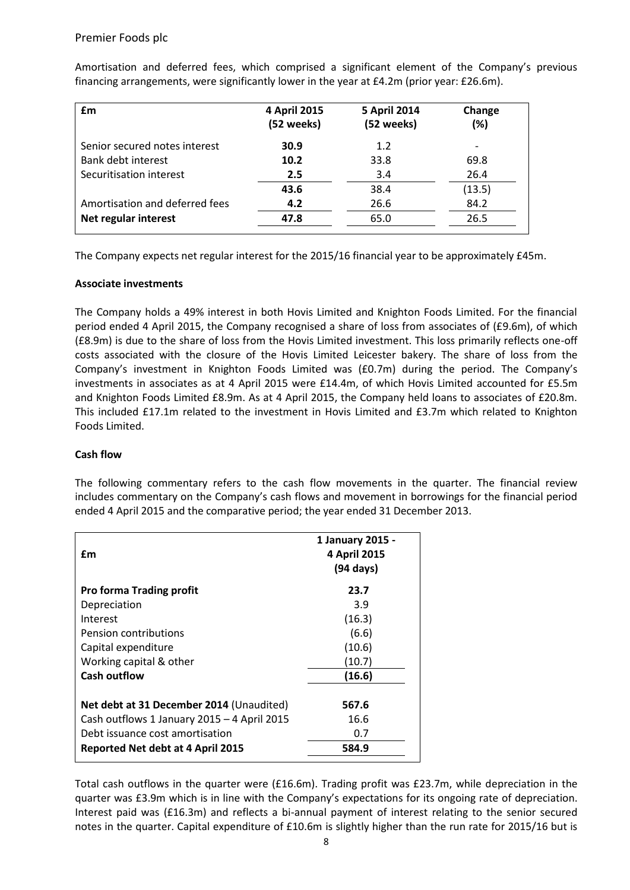| £m                             | 4 April 2015<br>(52 weeks) | <b>5 April 2014</b><br>(52 weeks) | Change<br>(%) |
|--------------------------------|----------------------------|-----------------------------------|---------------|
| Senior secured notes interest  | 30.9                       | 1.2                               |               |
| Bank debt interest             | 10.2                       | 33.8                              | 69.8          |
| Securitisation interest        | 2.5                        | 3.4                               | 26.4          |
|                                | 43.6                       | 38.4                              | (13.5)        |
| Amortisation and deferred fees | 4.2                        | 26.6                              | 84.2          |
| Net regular interest           | 47.8                       | 65.0                              | 26.5          |

Amortisation and deferred fees, which comprised a significant element of the Company's previous financing arrangements, were significantly lower in the year at £4.2m (prior year: £26.6m).

The Company expects net regular interest for the 2015/16 financial year to be approximately £45m.

## **Associate investments**

The Company holds a 49% interest in both Hovis Limited and Knighton Foods Limited. For the financial period ended 4 April 2015, the Company recognised a share of loss from associates of (£9.6m), of which (£8.9m) is due to the share of loss from the Hovis Limited investment. This loss primarily reflects one-off costs associated with the closure of the Hovis Limited Leicester bakery. The share of loss from the Company's investment in Knighton Foods Limited was (£0.7m) during the period. The Company's investments in associates as at 4 April 2015 were £14.4m, of which Hovis Limited accounted for £5.5m and Knighton Foods Limited £8.9m. As at 4 April 2015, the Company held loans to associates of £20.8m. This included £17.1m related to the investment in Hovis Limited and £3.7m which related to Knighton Foods Limited.

## **Cash flow**

The following commentary refers to the cash flow movements in the quarter. The financial review includes commentary on the Company's cash flows and movement in borrowings for the financial period ended 4 April 2015 and the comparative period; the year ended 31 December 2013.

| £m                                          | 1 January 2015 -<br>4 April 2015<br>$(94 \text{ days})$ |
|---------------------------------------------|---------------------------------------------------------|
| <b>Pro forma Trading profit</b>             | 23.7                                                    |
| Depreciation                                | 3.9                                                     |
| Interest                                    | (16.3)                                                  |
| <b>Pension contributions</b>                | (6.6)                                                   |
| Capital expenditure                         | (10.6)                                                  |
| Working capital & other                     | (10.7)                                                  |
| <b>Cash outflow</b>                         | (16.6)                                                  |
|                                             | 567.6                                                   |
| Net debt at 31 December 2014 (Unaudited)    |                                                         |
| Cash outflows 1 January 2015 - 4 April 2015 | 16.6                                                    |
| Debt issuance cost amortisation             | 0.7                                                     |
| <b>Reported Net debt at 4 April 2015</b>    | 584.9                                                   |

Total cash outflows in the quarter were (£16.6m). Trading profit was £23.7m, while depreciation in the quarter was £3.9m which is in line with the Company's expectations for its ongoing rate of depreciation. Interest paid was (£16.3m) and reflects a bi-annual payment of interest relating to the senior secured notes in the quarter. Capital expenditure of £10.6m is slightly higher than the run rate for 2015/16 but is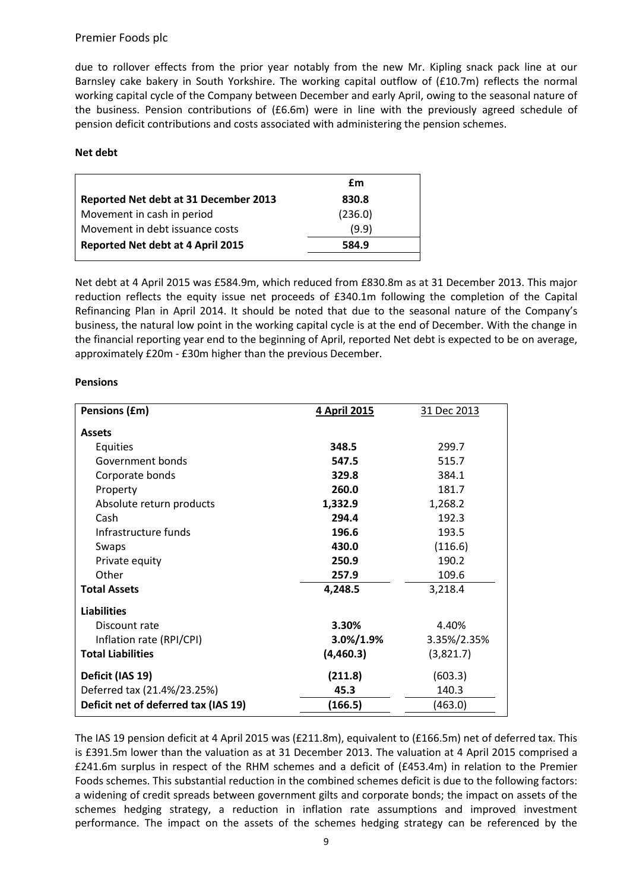due to rollover effects from the prior year notably from the new Mr. Kipling snack pack line at our Barnsley cake bakery in South Yorkshire. The working capital outflow of (£10.7m) reflects the normal working capital cycle of the Company between December and early April, owing to the seasonal nature of the business. Pension contributions of (£6.6m) were in line with the previously agreed schedule of pension deficit contributions and costs associated with administering the pension schemes.

#### **Net debt**

|                                       | £m      |
|---------------------------------------|---------|
| Reported Net debt at 31 December 2013 | 830.8   |
| Movement in cash in period            | (236.0) |
| Movement in debt issuance costs       | (9.9)   |
| Reported Net debt at 4 April 2015     | 584.9   |
|                                       |         |

Net debt at 4 April 2015 was £584.9m, which reduced from £830.8m as at 31 December 2013. This major reduction reflects the equity issue net proceeds of £340.1m following the completion of the Capital Refinancing Plan in April 2014. It should be noted that due to the seasonal nature of the Company's business, the natural low point in the working capital cycle is at the end of December. With the change in the financial reporting year end to the beginning of April, reported Net debt is expected to be on average, approximately £20m - £30m higher than the previous December.

| Pensions (£m)                        | 4 April 2015  | 31 Dec 2013 |
|--------------------------------------|---------------|-------------|
| <b>Assets</b>                        |               |             |
| <b>Equities</b>                      | 348.5         | 299.7       |
| Government bonds                     | 547.5         | 515.7       |
| Corporate bonds                      | 329.8         | 384.1       |
| Property                             | 260.0         | 181.7       |
| Absolute return products             | 1,332.9       | 1,268.2     |
| Cash                                 | 294.4         | 192.3       |
| Infrastructure funds                 | 196.6         | 193.5       |
| Swaps                                | 430.0         | (116.6)     |
| Private equity                       | 250.9         | 190.2       |
| Other                                | 257.9         | 109.6       |
| <b>Total Assets</b>                  | 4,248.5       | 3,218.4     |
| <b>Liabilities</b>                   |               |             |
| Discount rate                        | 3.30%         | 4.40%       |
| Inflation rate (RPI/CPI)             | $3.0\%/1.9\%$ | 3.35%/2.35% |
| <b>Total Liabilities</b>             | (4,460.3)     | (3,821.7)   |
| Deficit (IAS 19)                     | (211.8)       | (603.3)     |
| Deferred tax (21.4%/23.25%)          | 45.3          | 140.3       |
| Deficit net of deferred tax (IAS 19) | (166.5)       | (463.0)     |
|                                      |               |             |

#### **Pensions**

The IAS 19 pension deficit at 4 April 2015 was (£211.8m), equivalent to (£166.5m) net of deferred tax. This is £391.5m lower than the valuation as at 31 December 2013. The valuation at 4 April 2015 comprised a £241.6m surplus in respect of the RHM schemes and a deficit of (£453.4m) in relation to the Premier Foods schemes. This substantial reduction in the combined schemes deficit is due to the following factors: a widening of credit spreads between government gilts and corporate bonds; the impact on assets of the schemes hedging strategy, a reduction in inflation rate assumptions and improved investment performance. The impact on the assets of the schemes hedging strategy can be referenced by the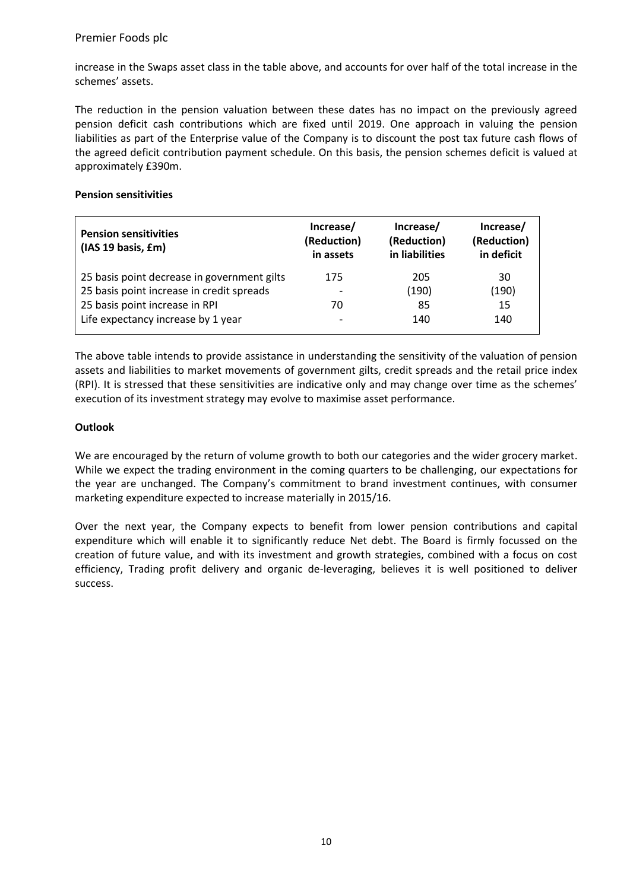increase in the Swaps asset class in the table above, and accounts for over half of the total increase in the schemes' assets.

The reduction in the pension valuation between these dates has no impact on the previously agreed pension deficit cash contributions which are fixed until 2019. One approach in valuing the pension liabilities as part of the Enterprise value of the Company is to discount the post tax future cash flows of the agreed deficit contribution payment schedule. On this basis, the pension schemes deficit is valued at approximately £390m.

#### **Pension sensitivities**

| <b>Pension sensitivities</b><br>(IAS 19 basis, £m) | Increase/<br>(Reduction)<br>in assets | Increase/<br>(Reduction)<br>in liabilities | Increase/<br>(Reduction)<br>in deficit |
|----------------------------------------------------|---------------------------------------|--------------------------------------------|----------------------------------------|
| 25 basis point decrease in government gilts        | 175                                   | 205                                        | 30                                     |
| 25 basis point increase in credit spreads          |                                       | (190)                                      | (190)                                  |
| 25 basis point increase in RPI                     | 70                                    | 85                                         | 15                                     |
| Life expectancy increase by 1 year                 |                                       | 140                                        | 140                                    |

The above table intends to provide assistance in understanding the sensitivity of the valuation of pension assets and liabilities to market movements of government gilts, credit spreads and the retail price index (RPI). It is stressed that these sensitivities are indicative only and may change over time as the schemes' execution of its investment strategy may evolve to maximise asset performance.

## **Outlook**

We are encouraged by the return of volume growth to both our categories and the wider grocery market. While we expect the trading environment in the coming quarters to be challenging, our expectations for the year are unchanged. The Company's commitment to brand investment continues, with consumer marketing expenditure expected to increase materially in 2015/16.

Over the next year, the Company expects to benefit from lower pension contributions and capital expenditure which will enable it to significantly reduce Net debt. The Board is firmly focussed on the creation of future value, and with its investment and growth strategies, combined with a focus on cost efficiency, Trading profit delivery and organic de-leveraging, believes it is well positioned to deliver success.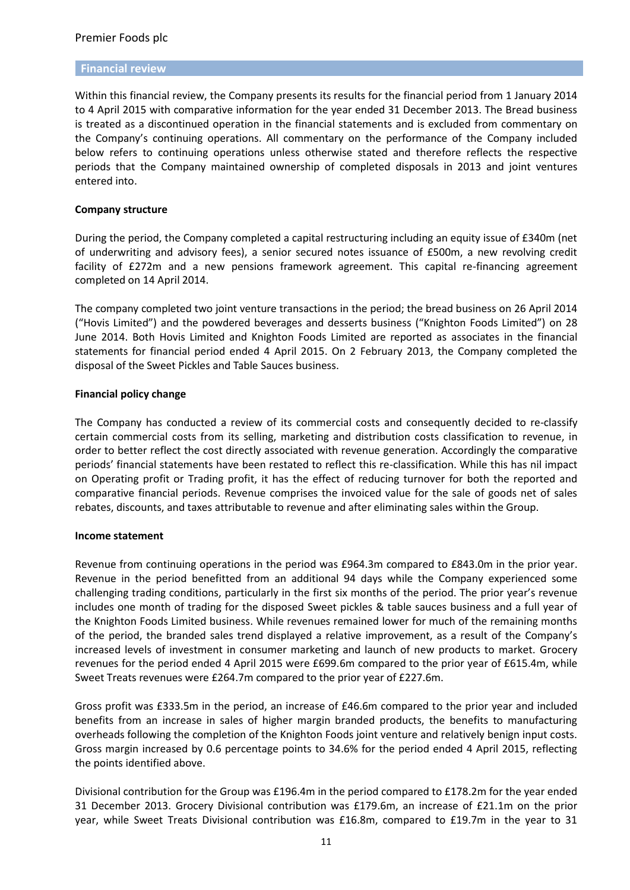#### **Financial review**

Within this financial review, the Company presents its results for the financial period from 1 January 2014 to 4 April 2015 with comparative information for the year ended 31 December 2013. The Bread business is treated as a discontinued operation in the financial statements and is excluded from commentary on the Company's continuing operations. All commentary on the performance of the Company included below refers to continuing operations unless otherwise stated and therefore reflects the respective periods that the Company maintained ownership of completed disposals in 2013 and joint ventures entered into.

#### **Company structure**

During the period, the Company completed a capital restructuring including an equity issue of £340m (net of underwriting and advisory fees), a senior secured notes issuance of £500m, a new revolving credit facility of £272m and a new pensions framework agreement. This capital re-financing agreement completed on 14 April 2014.

The company completed two joint venture transactions in the period; the bread business on 26 April 2014 ("Hovis Limited") and the powdered beverages and desserts business ("Knighton Foods Limited") on 28 June 2014. Both Hovis Limited and Knighton Foods Limited are reported as associates in the financial statements for financial period ended 4 April 2015. On 2 February 2013, the Company completed the disposal of the Sweet Pickles and Table Sauces business.

#### **Financial policy change**

The Company has conducted a review of its commercial costs and consequently decided to re-classify certain commercial costs from its selling, marketing and distribution costs classification to revenue, in order to better reflect the cost directly associated with revenue generation. Accordingly the comparative periods' financial statements have been restated to reflect this re-classification. While this has nil impact on Operating profit or Trading profit, it has the effect of reducing turnover for both the reported and comparative financial periods. Revenue comprises the invoiced value for the sale of goods net of sales rebates, discounts, and taxes attributable to revenue and after eliminating sales within the Group.

#### **Income statement**

Revenue from continuing operations in the period was £964.3m compared to £843.0m in the prior year. Revenue in the period benefitted from an additional 94 days while the Company experienced some challenging trading conditions, particularly in the first six months of the period. The prior year's revenue includes one month of trading for the disposed Sweet pickles & table sauces business and a full year of the Knighton Foods Limited business. While revenues remained lower for much of the remaining months of the period, the branded sales trend displayed a relative improvement, as a result of the Company's increased levels of investment in consumer marketing and launch of new products to market. Grocery revenues for the period ended 4 April 2015 were £699.6m compared to the prior year of £615.4m, while Sweet Treats revenues were £264.7m compared to the prior year of £227.6m.

Gross profit was £333.5m in the period, an increase of £46.6m compared to the prior year and included benefits from an increase in sales of higher margin branded products, the benefits to manufacturing overheads following the completion of the Knighton Foods joint venture and relatively benign input costs. Gross margin increased by 0.6 percentage points to 34.6% for the period ended 4 April 2015, reflecting the points identified above.

Divisional contribution for the Group was £196.4m in the period compared to £178.2m for the year ended 31 December 2013. Grocery Divisional contribution was £179.6m, an increase of £21.1m on the prior year, while Sweet Treats Divisional contribution was £16.8m, compared to £19.7m in the year to 31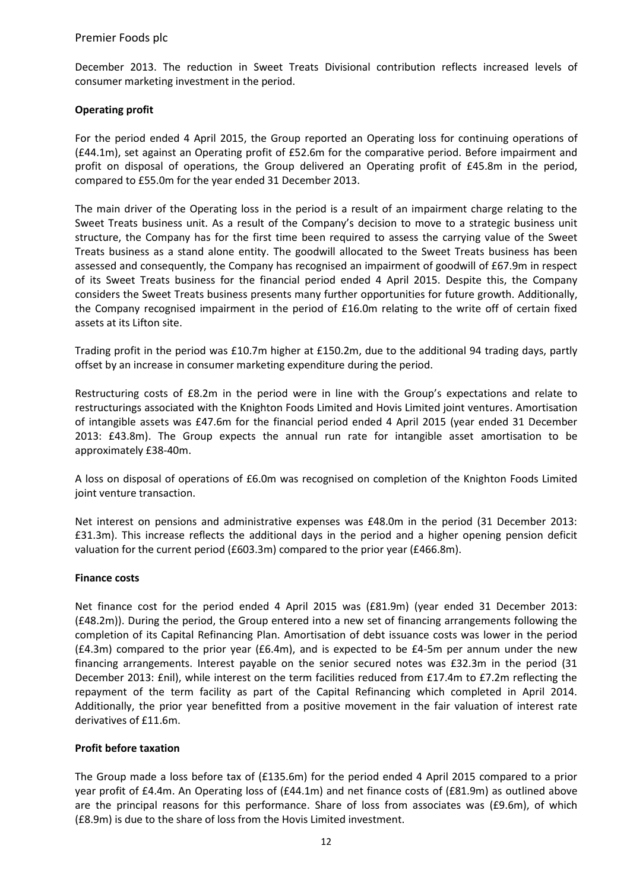December 2013. The reduction in Sweet Treats Divisional contribution reflects increased levels of consumer marketing investment in the period.

## **Operating profit**

For the period ended 4 April 2015, the Group reported an Operating loss for continuing operations of (£44.1m), set against an Operating profit of £52.6m for the comparative period. Before impairment and profit on disposal of operations, the Group delivered an Operating profit of £45.8m in the period, compared to £55.0m for the year ended 31 December 2013.

The main driver of the Operating loss in the period is a result of an impairment charge relating to the Sweet Treats business unit. As a result of the Company's decision to move to a strategic business unit structure, the Company has for the first time been required to assess the carrying value of the Sweet Treats business as a stand alone entity. The goodwill allocated to the Sweet Treats business has been assessed and consequently, the Company has recognised an impairment of goodwill of £67.9m in respect of its Sweet Treats business for the financial period ended 4 April 2015. Despite this, the Company considers the Sweet Treats business presents many further opportunities for future growth. Additionally, the Company recognised impairment in the period of £16.0m relating to the write off of certain fixed assets at its Lifton site.

Trading profit in the period was £10.7m higher at £150.2m, due to the additional 94 trading days, partly offset by an increase in consumer marketing expenditure during the period.

Restructuring costs of £8.2m in the period were in line with the Group's expectations and relate to restructurings associated with the Knighton Foods Limited and Hovis Limited joint ventures. Amortisation of intangible assets was £47.6m for the financial period ended 4 April 2015 (year ended 31 December 2013: £43.8m). The Group expects the annual run rate for intangible asset amortisation to be approximately £38-40m.

A loss on disposal of operations of £6.0m was recognised on completion of the Knighton Foods Limited joint venture transaction.

Net interest on pensions and administrative expenses was £48.0m in the period (31 December 2013: £31.3m). This increase reflects the additional days in the period and a higher opening pension deficit valuation for the current period (£603.3m) compared to the prior year (£466.8m).

#### **Finance costs**

Net finance cost for the period ended 4 April 2015 was (£81.9m) (year ended 31 December 2013: (£48.2m)). During the period, the Group entered into a new set of financing arrangements following the completion of its Capital Refinancing Plan. Amortisation of debt issuance costs was lower in the period (£4.3m) compared to the prior year (£6.4m), and is expected to be £4-5m per annum under the new financing arrangements. Interest payable on the senior secured notes was £32.3m in the period (31 December 2013: £nil), while interest on the term facilities reduced from £17.4m to £7.2m reflecting the repayment of the term facility as part of the Capital Refinancing which completed in April 2014. Additionally, the prior year benefitted from a positive movement in the fair valuation of interest rate derivatives of £11.6m.

#### **Profit before taxation**

The Group made a loss before tax of (£135.6m) for the period ended 4 April 2015 compared to a prior year profit of £4.4m. An Operating loss of (£44.1m) and net finance costs of (£81.9m) as outlined above are the principal reasons for this performance. Share of loss from associates was (£9.6m), of which (£8.9m) is due to the share of loss from the Hovis Limited investment.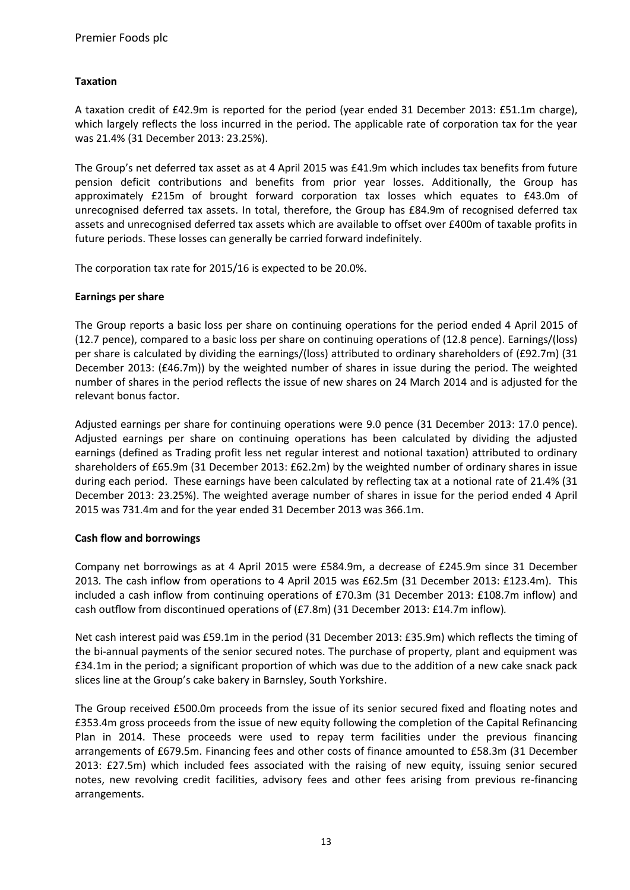## **Taxation**

A taxation credit of £42.9m is reported for the period (year ended 31 December 2013: £51.1m charge), which largely reflects the loss incurred in the period. The applicable rate of corporation tax for the year was 21.4% (31 December 2013: 23.25%).

The Group's net deferred tax asset as at 4 April 2015 was £41.9m which includes tax benefits from future pension deficit contributions and benefits from prior year losses. Additionally, the Group has approximately £215m of brought forward corporation tax losses which equates to £43.0m of unrecognised deferred tax assets. In total, therefore, the Group has £84.9m of recognised deferred tax assets and unrecognised deferred tax assets which are available to offset over £400m of taxable profits in future periods. These losses can generally be carried forward indefinitely.

The corporation tax rate for 2015/16 is expected to be 20.0%.

## **Earnings per share**

The Group reports a basic loss per share on continuing operations for the period ended 4 April 2015 of (12.7 pence), compared to a basic loss per share on continuing operations of (12.8 pence). Earnings/(loss) per share is calculated by dividing the earnings/(loss) attributed to ordinary shareholders of (£92.7m) (31 December 2013: (£46.7m)) by the weighted number of shares in issue during the period. The weighted number of shares in the period reflects the issue of new shares on 24 March 2014 and is adjusted for the relevant bonus factor.

Adjusted earnings per share for continuing operations were 9.0 pence (31 December 2013: 17.0 pence). Adjusted earnings per share on continuing operations has been calculated by dividing the adjusted earnings (defined as Trading profit less net regular interest and notional taxation) attributed to ordinary shareholders of £65.9m (31 December 2013: £62.2m) by the weighted number of ordinary shares in issue during each period. These earnings have been calculated by reflecting tax at a notional rate of 21.4% (31 December 2013: 23.25%). The weighted average number of shares in issue for the period ended 4 April 2015 was 731.4m and for the year ended 31 December 2013 was 366.1m.

#### **Cash flow and borrowings**

Company net borrowings as at 4 April 2015 were £584.9m, a decrease of £245.9m since 31 December 2013*.* The cash inflow from operations to 4 April 2015 was £62.5m (31 December 2013: £123.4m). This included a cash inflow from continuing operations of £70.3m (31 December 2013: £108.7m inflow) and cash outflow from discontinued operations of (£7.8m) (31 December 2013: £14.7m inflow)*.*

Net cash interest paid was £59.1m in the period (31 December 2013: £35.9m) which reflects the timing of the bi-annual payments of the senior secured notes. The purchase of property, plant and equipment was £34.1m in the period; a significant proportion of which was due to the addition of a new cake snack pack slices line at the Group's cake bakery in Barnsley, South Yorkshire.

The Group received £500.0m proceeds from the issue of its senior secured fixed and floating notes and £353.4m gross proceeds from the issue of new equity following the completion of the Capital Refinancing Plan in 2014. These proceeds were used to repay term facilities under the previous financing arrangements of £679.5m. Financing fees and other costs of finance amounted to £58.3m (31 December 2013: £27.5m) which included fees associated with the raising of new equity, issuing senior secured notes, new revolving credit facilities, advisory fees and other fees arising from previous re-financing arrangements.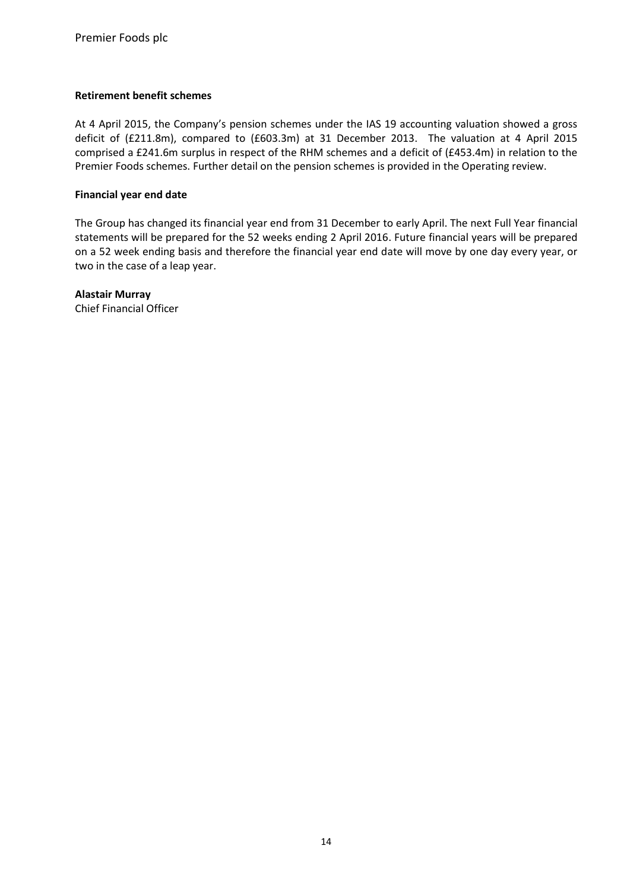## **Retirement benefit schemes**

At 4 April 2015, the Company's pension schemes under the IAS 19 accounting valuation showed a gross deficit of (£211.8m), compared to (£603.3m) at 31 December 2013. The valuation at 4 April 2015 comprised a £241.6m surplus in respect of the RHM schemes and a deficit of (£453.4m) in relation to the Premier Foods schemes. Further detail on the pension schemes is provided in the Operating review.

#### **Financial year end date**

The Group has changed its financial year end from 31 December to early April. The next Full Year financial statements will be prepared for the 52 weeks ending 2 April 2016. Future financial years will be prepared on a 52 week ending basis and therefore the financial year end date will move by one day every year, or two in the case of a leap year.

## **Alastair Murray**

Chief Financial Officer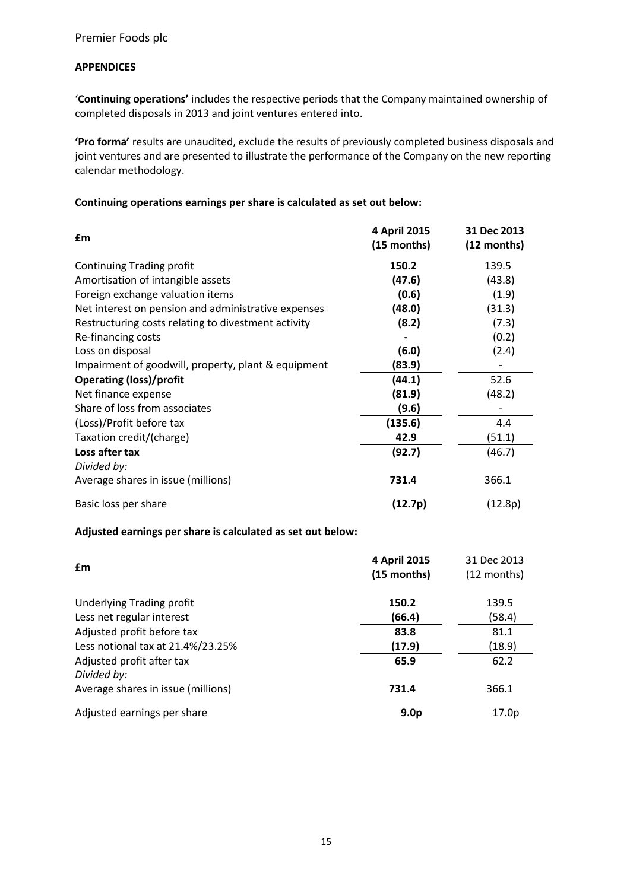## **APPENDICES**

'**Continuing operations'** includes the respective periods that the Company maintained ownership of completed disposals in 2013 and joint ventures entered into.

**'Pro forma'** results are unaudited, exclude the results of previously completed business disposals and joint ventures and are presented to illustrate the performance of the Company on the new reporting calendar methodology.

## **Continuing operations earnings per share is calculated as set out below:**

| £m                                                  | 4 April 2015<br>(15 months) | 31 Dec 2013<br>$(12$ months) |
|-----------------------------------------------------|-----------------------------|------------------------------|
| <b>Continuing Trading profit</b>                    | 150.2                       | 139.5                        |
| Amortisation of intangible assets                   | (47.6)                      | (43.8)                       |
| Foreign exchange valuation items                    | (0.6)                       | (1.9)                        |
| Net interest on pension and administrative expenses | (48.0)                      | (31.3)                       |
| Restructuring costs relating to divestment activity | (8.2)                       | (7.3)                        |
| Re-financing costs                                  |                             | (0.2)                        |
| Loss on disposal                                    | (6.0)                       | (2.4)                        |
| Impairment of goodwill, property, plant & equipment | (83.9)                      |                              |
| <b>Operating (loss)/profit</b>                      | (44.1)                      | 52.6                         |
| Net finance expense                                 | (81.9)                      | (48.2)                       |
| Share of loss from associates                       | (9.6)                       |                              |
| (Loss)/Profit before tax                            | (135.6)                     | 4.4                          |
| Taxation credit/(charge)                            | 42.9                        | (51.1)                       |
| Loss after tax                                      | (92.7)                      | (46.7)                       |
| Divided by:                                         |                             |                              |
| Average shares in issue (millions)                  | 731.4                       | 366.1                        |
| Basic loss per share                                | (12.7p)                     | (12.8p)                      |

#### **Adjusted earnings per share is calculated as set out below:**

| £m                                       | 4 April 2015<br>(15 months) | 31 Dec 2013<br>$(12$ months) |
|------------------------------------------|-----------------------------|------------------------------|
| Underlying Trading profit                | 150.2                       | 139.5                        |
| Less net regular interest                | (66.4)                      | (58.4)                       |
| Adjusted profit before tax               | 83.8                        | 81.1                         |
| Less notional tax at 21.4%/23.25%        | (17.9)                      | (18.9)                       |
| Adjusted profit after tax<br>Divided by: | 65.9                        | 62.2                         |
| Average shares in issue (millions)       | 731.4                       | 366.1                        |
| Adjusted earnings per share              | 9.0 <sub>p</sub>            | 17.0p                        |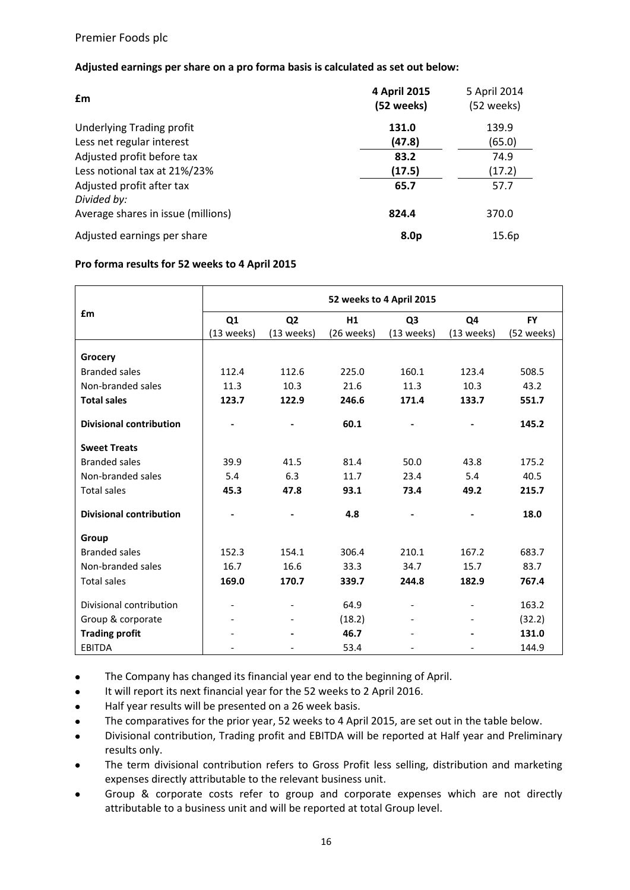## **Adjusted earnings per share on a pro forma basis is calculated as set out below:**

| £m                                 | 4 April 2015<br>(52 weeks) | 5 April 2014<br>(52 weeks) |
|------------------------------------|----------------------------|----------------------------|
| <b>Underlying Trading profit</b>   | 131.0                      | 139.9                      |
| Less net regular interest          | (47.8)                     | (65.0)                     |
| Adjusted profit before tax         | 83.2                       | 74.9                       |
| Less notional tax at 21%/23%       | (17.5)                     | (17.2)                     |
| Adjusted profit after tax          | 65.7                       | 57.7                       |
| Divided by:                        |                            |                            |
| Average shares in issue (millions) | 824.4                      | 370.0                      |
| Adjusted earnings per share        | 8.0 <sub>p</sub>           | 15.6p                      |

#### **Pro forma results for 52 weeks to 4 April 2015**

|                                | 52 weeks to 4 April 2015 |                |            |                          |            |            |  |
|--------------------------------|--------------------------|----------------|------------|--------------------------|------------|------------|--|
| £m                             | Q <sub>1</sub>           | Q <sub>2</sub> | H1         | Q <sub>3</sub>           | Q4         | <b>FY</b>  |  |
|                                | (13 weeks)               | (13 weeks)     | (26 weeks) | (13 weeks)               | (13 weeks) | (52 weeks) |  |
|                                |                          |                |            |                          |            |            |  |
| Grocery                        |                          |                |            |                          |            |            |  |
| <b>Branded sales</b>           | 112.4                    | 112.6          | 225.0      | 160.1                    | 123.4      | 508.5      |  |
| Non-branded sales              | 11.3                     | 10.3           | 21.6       | 11.3                     | 10.3       | 43.2       |  |
| <b>Total sales</b>             | 123.7                    | 122.9          | 246.6      | 171.4                    | 133.7      | 551.7      |  |
| <b>Divisional contribution</b> |                          |                | 60.1       |                          |            | 145.2      |  |
| <b>Sweet Treats</b>            |                          |                |            |                          |            |            |  |
| <b>Branded sales</b>           | 39.9                     | 41.5           | 81.4       | 50.0                     | 43.8       | 175.2      |  |
| Non-branded sales              | 5.4                      | 6.3            | 11.7       | 23.4                     | 5.4        | 40.5       |  |
| <b>Total sales</b>             | 45.3                     | 47.8           | 93.1       | 73.4                     | 49.2       | 215.7      |  |
| <b>Divisional contribution</b> |                          |                | 4.8        |                          |            | 18.0       |  |
| Group                          |                          |                |            |                          |            |            |  |
| <b>Branded sales</b>           | 152.3                    | 154.1          | 306.4      | 210.1                    | 167.2      | 683.7      |  |
| Non-branded sales              | 16.7                     | 16.6           | 33.3       | 34.7                     | 15.7       | 83.7       |  |
| <b>Total sales</b>             | 169.0                    | 170.7          | 339.7      | 244.8                    | 182.9      | 767.4      |  |
| Divisional contribution        |                          |                | 64.9       | $\overline{\phantom{a}}$ |            | 163.2      |  |
| Group & corporate              |                          |                | (18.2)     |                          |            | (32.2)     |  |
| <b>Trading profit</b>          |                          |                | 46.7       |                          |            | 131.0      |  |
| <b>EBITDA</b>                  |                          |                | 53.4       |                          |            | 144.9      |  |

- The Company has changed its financial year end to the beginning of April.  $\bullet$
- $\bullet$ It will report its next financial year for the 52 weeks to 2 April 2016.
- Half year results will be presented on a 26 week basis.  $\bullet$
- $\bullet$ The comparatives for the prior year, 52 weeks to 4 April 2015, are set out in the table below.
- Divisional contribution, Trading profit and EBITDA will be reported at Half year and Preliminary  $\bullet$ results only.
- The term divisional contribution refers to Gross Profit less selling, distribution and marketing expenses directly attributable to the relevant business unit.
- Group & corporate costs refer to group and corporate expenses which are not directly  $\bullet$ attributable to a business unit and will be reported at total Group level.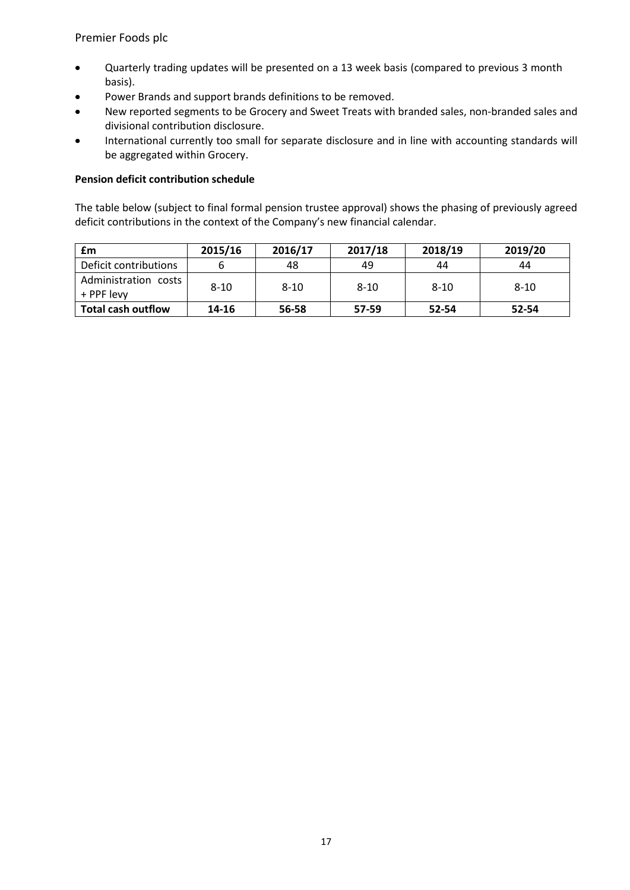- Quarterly trading updates will be presented on a 13 week basis (compared to previous 3 month basis).
- Power Brands and support brands definitions to be removed.  $\bullet$
- New reported segments to be Grocery and Sweet Treats with branded sales, non-branded sales and divisional contribution disclosure.
- International currently too small for separate disclosure and in line with accounting standards will  $\bullet$ be aggregated within Grocery.

## **Pension deficit contribution schedule**

The table below (subject to final formal pension trustee approval) shows the phasing of previously agreed deficit contributions in the context of the Company's new financial calendar.

| £m                                 | 2015/16  | 2016/17  | 2017/18  | 2018/19 | 2019/20  |
|------------------------------------|----------|----------|----------|---------|----------|
| Deficit contributions              |          | 48       | 49       | 44      | 44       |
| Administration costs<br>+ PPF levy | $8 - 10$ | $8 - 10$ | $8 - 10$ | 8-10    | $8 - 10$ |
| <b>Total cash outflow</b>          | 14-16    | 56-58    | 57-59    | 52-54   | 52-54    |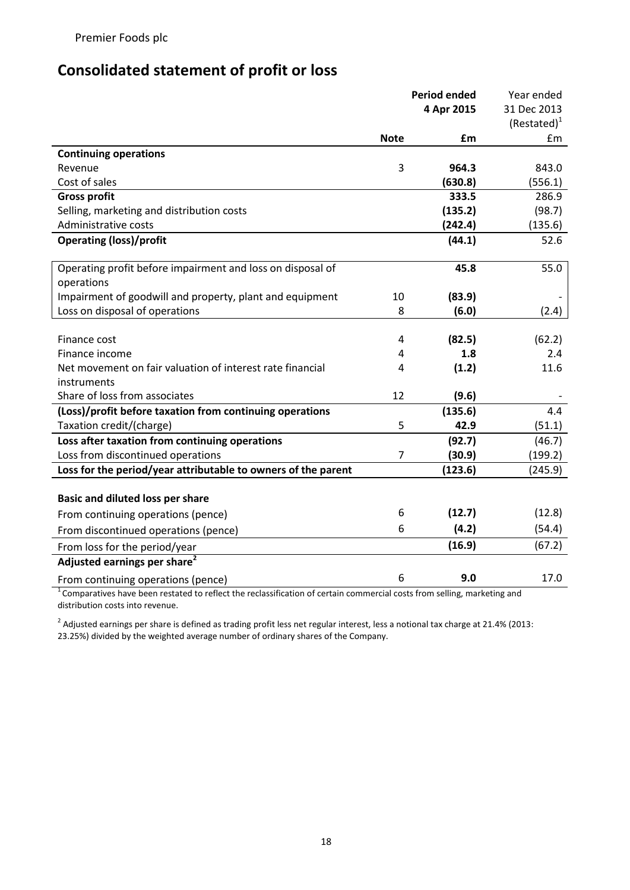## **Consolidated statement of profit or loss**

|                                                               |             | <b>Period ended</b> | Year ended     |
|---------------------------------------------------------------|-------------|---------------------|----------------|
|                                                               |             | 4 Apr 2015          | 31 Dec 2013    |
|                                                               |             |                     | $(Restated)^1$ |
|                                                               | <b>Note</b> | £m                  | £m             |
| <b>Continuing operations</b>                                  |             |                     |                |
| Revenue                                                       | 3           | 964.3               | 843.0          |
| Cost of sales                                                 |             | (630.8)             | (556.1)        |
| <b>Gross profit</b>                                           |             | 333.5               | 286.9          |
| Selling, marketing and distribution costs                     |             | (135.2)             | (98.7)         |
| Administrative costs                                          |             | (242.4)             | (135.6)        |
| <b>Operating (loss)/profit</b>                                |             | (44.1)              | 52.6           |
| Operating profit before impairment and loss on disposal of    |             | 45.8                | 55.0           |
| operations                                                    |             |                     |                |
| Impairment of goodwill and property, plant and equipment      | 10          | (83.9)              |                |
| Loss on disposal of operations                                | 8           | (6.0)               | (2.4)          |
| Finance cost                                                  | 4           | (82.5)              | (62.2)         |
| Finance income                                                | 4           | 1.8                 | 2.4            |
| Net movement on fair valuation of interest rate financial     | 4           | (1.2)               | 11.6           |
| instruments                                                   |             |                     |                |
| Share of loss from associates                                 | 12          | (9.6)               |                |
| (Loss)/profit before taxation from continuing operations      |             | (135.6)             | 4.4            |
| Taxation credit/(charge)                                      | 5           | 42.9                | (51.1)         |
| Loss after taxation from continuing operations                |             | (92.7)              | (46.7)         |
| Loss from discontinued operations                             | 7           | (30.9)              | (199.2)        |
| Loss for the period/year attributable to owners of the parent |             | (123.6)             | (245.9)        |
| <b>Basic and diluted loss per share</b>                       |             |                     |                |
| From continuing operations (pence)                            | 6           | (12.7)              | (12.8)         |
| From discontinued operations (pence)                          | 6           | (4.2)               | (54.4)         |
| From loss for the period/year                                 |             | (16.9)              | (67.2)         |
| Adjusted earnings per share <sup>2</sup>                      |             |                     |                |
|                                                               | 6           | 9.0                 | 17.0           |
| From continuing operations (pence)                            |             |                     |                |

<sup>1</sup>Comparatives have been restated to reflect the reclassification of certain commercial costs from selling, marketing and distribution costs into revenue.

 $^2$  Adjusted earnings per share is defined as trading profit less net regular interest, less a notional tax charge at 21.4% (2013: 23.25%) divided by the weighted average number of ordinary shares of the Company.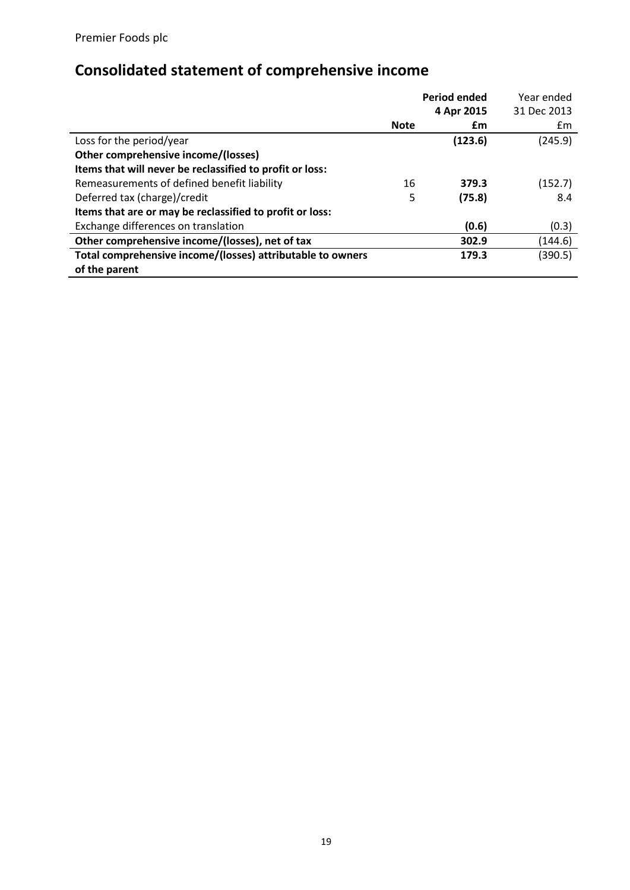# **Consolidated statement of comprehensive income**

|                                                            |             | <b>Period ended</b> | Year ended  |
|------------------------------------------------------------|-------------|---------------------|-------------|
|                                                            |             | 4 Apr 2015          | 31 Dec 2013 |
|                                                            | <b>Note</b> | £m                  | £m          |
| Loss for the period/year                                   |             | (123.6)             | (245.9)     |
| Other comprehensive income/(losses)                        |             |                     |             |
| Items that will never be reclassified to profit or loss:   |             |                     |             |
| Remeasurements of defined benefit liability                | 16          | 379.3               | (152.7)     |
| Deferred tax (charge)/credit                               | 5           | (75.8)              | 8.4         |
| Items that are or may be reclassified to profit or loss:   |             |                     |             |
| Exchange differences on translation                        |             | (0.6)               | (0.3)       |
| Other comprehensive income/(losses), net of tax            |             | 302.9               | (144.6)     |
| Total comprehensive income/(losses) attributable to owners |             | 179.3               | (390.5)     |
| of the parent                                              |             |                     |             |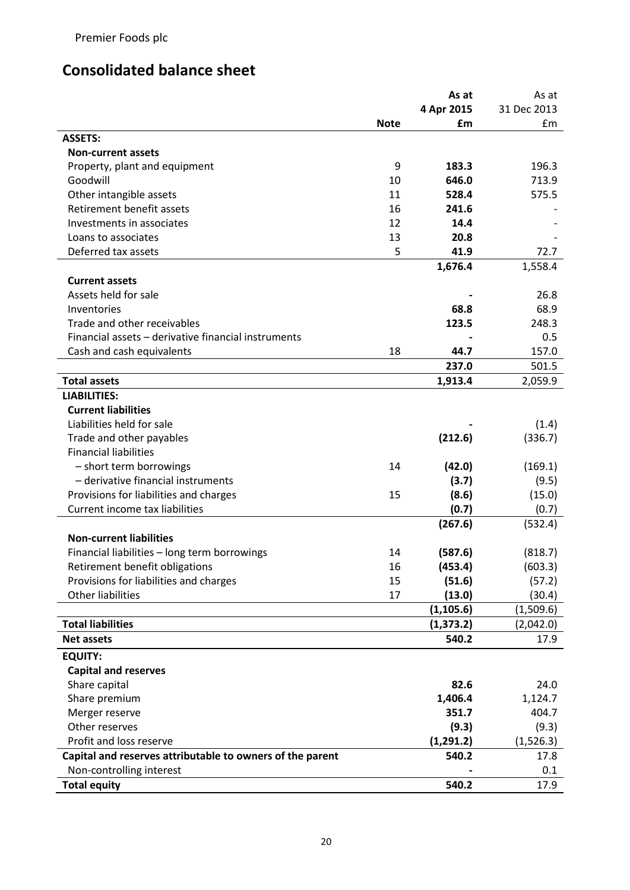# **Consolidated balance sheet**

|                                                           |             | As at      | As at         |
|-----------------------------------------------------------|-------------|------------|---------------|
|                                                           |             | 4 Apr 2015 | 31 Dec 2013   |
|                                                           | <b>Note</b> | £m         | $\mathsf{fm}$ |
| <b>ASSETS:</b>                                            |             |            |               |
| <b>Non-current assets</b>                                 |             |            |               |
| Property, plant and equipment                             | 9           | 183.3      | 196.3         |
| Goodwill                                                  | 10          | 646.0      | 713.9         |
| Other intangible assets                                   | 11          | 528.4      | 575.5         |
| Retirement benefit assets                                 | 16          | 241.6      |               |
| Investments in associates                                 | 12          | 14.4       |               |
| Loans to associates                                       | 13          | 20.8       |               |
| Deferred tax assets                                       | 5           | 41.9       | 72.7          |
|                                                           |             | 1,676.4    | 1,558.4       |
| <b>Current assets</b>                                     |             |            |               |
| Assets held for sale                                      |             |            | 26.8          |
| Inventories                                               |             | 68.8       | 68.9          |
| Trade and other receivables                               |             | 123.5      | 248.3         |
| Financial assets - derivative financial instruments       |             |            | 0.5           |
| Cash and cash equivalents                                 | 18          | 44.7       | 157.0         |
|                                                           |             | 237.0      | 501.5         |
| <b>Total assets</b>                                       |             | 1,913.4    | 2,059.9       |
| <b>LIABILITIES:</b>                                       |             |            |               |
| <b>Current liabilities</b>                                |             |            |               |
| Liabilities held for sale                                 |             |            |               |
|                                                           |             |            | (1.4)         |
| Trade and other payables                                  |             | (212.6)    | (336.7)       |
| <b>Financial liabilities</b>                              |             |            |               |
| - short term borrowings                                   | 14          | (42.0)     | (169.1)       |
| - derivative financial instruments                        |             | (3.7)      | (9.5)         |
| Provisions for liabilities and charges                    | 15          | (8.6)      | (15.0)        |
| Current income tax liabilities                            |             | (0.7)      | (0.7)         |
|                                                           |             | (267.6)    | (532.4)       |
| <b>Non-current liabilities</b>                            |             |            |               |
| Financial liabilities - long term borrowings              | 14          | (587.6)    | (818.7)       |
| Retirement benefit obligations                            | 16          | (453.4)    | (603.3)       |
| Provisions for liabilities and charges                    | 15          | (51.6)     | (57.2)        |
| <b>Other liabilities</b>                                  | 17          | (13.0)     | (30.4)        |
|                                                           |             | (1, 105.6) | (1,509.6)     |
| <b>Total liabilities</b>                                  |             | (1, 373.2) | (2,042.0)     |
| <b>Net assets</b>                                         |             | 540.2      | 17.9          |
| <b>EQUITY:</b>                                            |             |            |               |
| <b>Capital and reserves</b>                               |             |            |               |
| Share capital                                             |             | 82.6       | 24.0          |
| Share premium                                             |             | 1,406.4    | 1,124.7       |
| Merger reserve                                            |             | 351.7      | 404.7         |
| Other reserves                                            |             | (9.3)      | (9.3)         |
| Profit and loss reserve                                   |             | (1,291.2)  | (1,526.3)     |
| Capital and reserves attributable to owners of the parent |             | 540.2      | 17.8          |
| Non-controlling interest                                  |             |            | 0.1           |
| <b>Total equity</b>                                       |             | 540.2      | 17.9          |
|                                                           |             |            |               |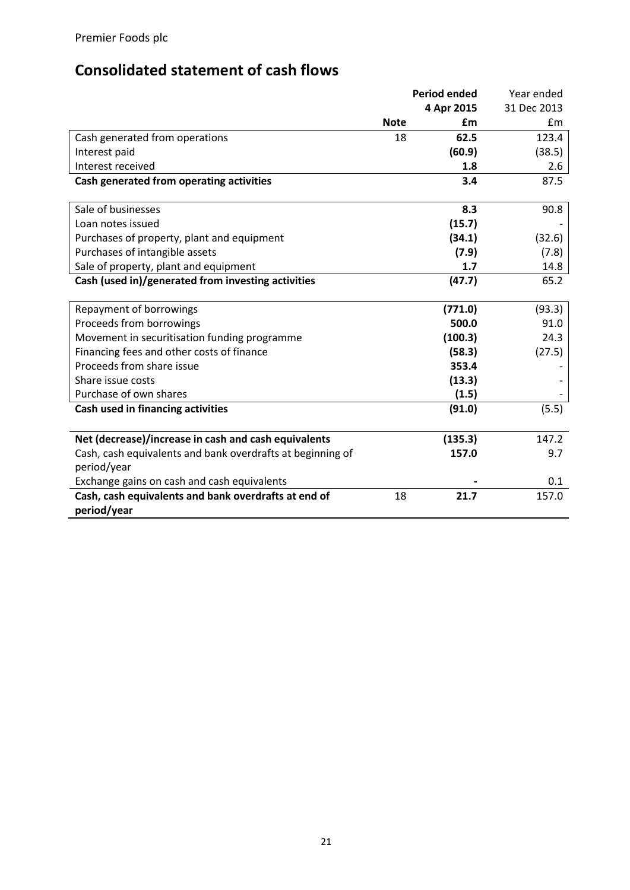# **Consolidated statement of cash flows**

|                                                            |             | <b>Period ended</b> | Year ended  |
|------------------------------------------------------------|-------------|---------------------|-------------|
|                                                            |             | 4 Apr 2015          | 31 Dec 2013 |
|                                                            | <b>Note</b> | £m                  | Em          |
| Cash generated from operations                             | 18          | 62.5                | 123.4       |
| Interest paid                                              |             | (60.9)              | (38.5)      |
| Interest received                                          |             | 1.8                 | 2.6         |
| Cash generated from operating activities                   |             | 3.4                 | 87.5        |
|                                                            |             |                     |             |
| Sale of businesses                                         |             | 8.3                 | 90.8        |
| Loan notes issued                                          |             | (15.7)              |             |
| Purchases of property, plant and equipment                 |             | (34.1)              | (32.6)      |
| Purchases of intangible assets                             |             | (7.9)               | (7.8)       |
| Sale of property, plant and equipment                      |             | 1.7                 | 14.8        |
| Cash (used in)/generated from investing activities         |             | (47.7)              | 65.2        |
|                                                            |             |                     |             |
| Repayment of borrowings                                    |             | (771.0)             | (93.3)      |
| Proceeds from borrowings                                   |             | 500.0               | 91.0        |
| Movement in securitisation funding programme               |             | (100.3)             | 24.3        |
| Financing fees and other costs of finance                  |             | (58.3)              | (27.5)      |
| Proceeds from share issue                                  |             | 353.4               |             |
| Share issue costs                                          |             | (13.3)              |             |
| Purchase of own shares                                     |             | (1.5)               |             |
| Cash used in financing activities                          |             | (91.0)              | (5.5)       |
|                                                            |             |                     |             |
| Net (decrease)/increase in cash and cash equivalents       |             | (135.3)             | 147.2       |
| Cash, cash equivalents and bank overdrafts at beginning of |             | 157.0               | 9.7         |
| period/year                                                |             |                     |             |
| Exchange gains on cash and cash equivalents                |             |                     | 0.1         |
| Cash, cash equivalents and bank overdrafts at end of       | 18          | 21.7                | 157.0       |
| period/year                                                |             |                     |             |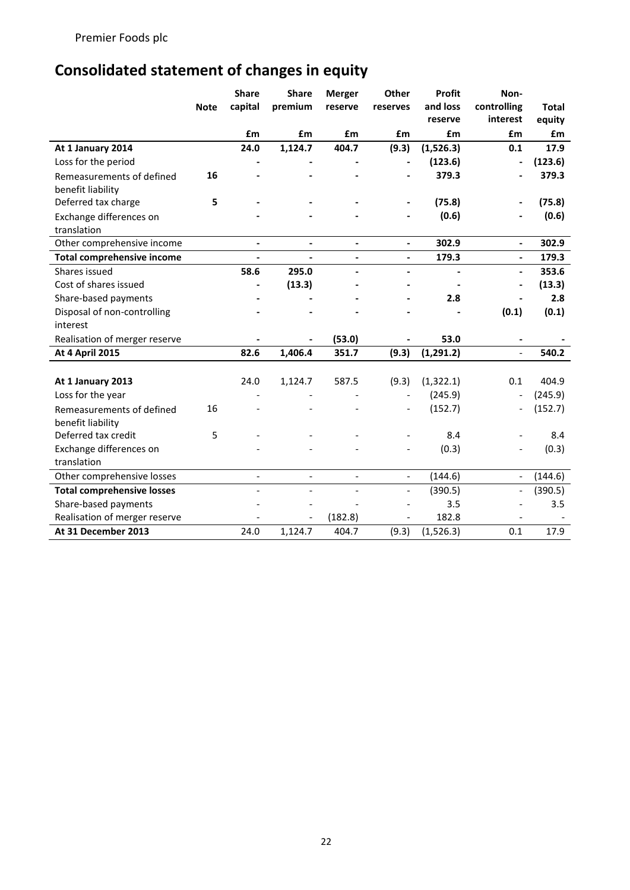# **Consolidated statement of changes in equity**

|                                   |             | <b>Share</b>             | <b>Share</b>             | <b>Merger</b>                | Other                    | Profit         | Non-                     |              |
|-----------------------------------|-------------|--------------------------|--------------------------|------------------------------|--------------------------|----------------|--------------------------|--------------|
|                                   | <b>Note</b> | capital                  | premium                  | reserve                      | reserves                 | and loss       | controlling              | <b>Total</b> |
|                                   |             |                          |                          |                              |                          | reserve        | interest                 | equity       |
|                                   |             | £m                       | £m                       | £m                           | £m                       | £m             | £m                       | £m           |
| At 1 January 2014                 |             | 24.0                     | 1,124.7                  | 404.7                        | (9.3)                    | (1,526.3)      | 0.1                      | 17.9         |
| Loss for the period               |             |                          |                          |                              |                          | (123.6)        | $\overline{a}$           | (123.6)      |
| Remeasurements of defined         | 16          |                          |                          |                              |                          | 379.3          |                          | 379.3        |
| benefit liability                 |             |                          |                          |                              |                          |                |                          |              |
| Deferred tax charge               | 5           |                          |                          |                              | $\overline{\phantom{a}}$ | (75.8)         |                          | (75.8)       |
| Exchange differences on           |             |                          |                          |                              |                          | (0.6)          |                          | (0.6)        |
| translation                       |             |                          |                          |                              |                          |                |                          |              |
| Other comprehensive income        |             | $\blacksquare$           | $\overline{\phantom{0}}$ | $\qquad \qquad \blacksquare$ | $\overline{\phantom{a}}$ | 302.9          | $\overline{a}$           | 302.9        |
| <b>Total comprehensive income</b> |             |                          |                          | $\qquad \qquad \blacksquare$ | $\overline{\phantom{a}}$ | 179.3          | $\overline{\phantom{a}}$ | 179.3        |
| Shares issued                     |             | 58.6                     | 295.0                    | $\overline{a}$               | $\overline{\phantom{a}}$ | $\blacksquare$ | $\overline{\phantom{0}}$ | 353.6        |
| Cost of shares issued             |             |                          | (13.3)                   |                              |                          |                |                          | (13.3)       |
| Share-based payments              |             |                          |                          |                              |                          | 2.8            |                          | 2.8          |
| Disposal of non-controlling       |             |                          |                          |                              |                          |                | (0.1)                    | (0.1)        |
| interest                          |             |                          |                          |                              |                          |                |                          |              |
| Realisation of merger reserve     |             |                          |                          | (53.0)                       |                          | 53.0           |                          |              |
| <b>At 4 April 2015</b>            |             | 82.6                     | 1,406.4                  | 351.7                        | (9.3)                    | (1, 291.2)     |                          | 540.2        |
|                                   |             |                          |                          |                              |                          |                |                          |              |
| At 1 January 2013                 |             | 24.0                     | 1,124.7                  | 587.5                        | (9.3)                    | (1, 322.1)     | 0.1                      | 404.9        |
| Loss for the year                 |             |                          |                          |                              |                          | (245.9)        |                          | (245.9)      |
| Remeasurements of defined         | 16          |                          |                          |                              |                          | (152.7)        |                          | (152.7)      |
| benefit liability                 |             |                          |                          |                              |                          |                |                          |              |
| Deferred tax credit               | 5           |                          |                          |                              |                          | 8.4            |                          | 8.4          |
| Exchange differences on           |             |                          |                          |                              |                          | (0.3)          |                          | (0.3)        |
| translation                       |             |                          |                          |                              |                          |                |                          |              |
| Other comprehensive losses        |             | $\overline{\phantom{0}}$ | $\equiv$                 | $\overline{\phantom{0}}$     | $\blacksquare$           | (144.6)        | $\overline{\phantom{0}}$ | (144.6)      |
| <b>Total comprehensive losses</b> |             |                          |                          |                              | $\overline{\phantom{a}}$ | (390.5)        | $\overline{a}$           | (390.5)      |
| Share-based payments              |             |                          |                          |                              |                          | 3.5            |                          | 3.5          |
| Realisation of merger reserve     |             |                          |                          | (182.8)                      |                          | 182.8          |                          |              |
| At 31 December 2013               |             | 24.0                     | 1,124.7                  | 404.7                        | (9.3)                    | (1, 526.3)     | 0.1                      | 17.9         |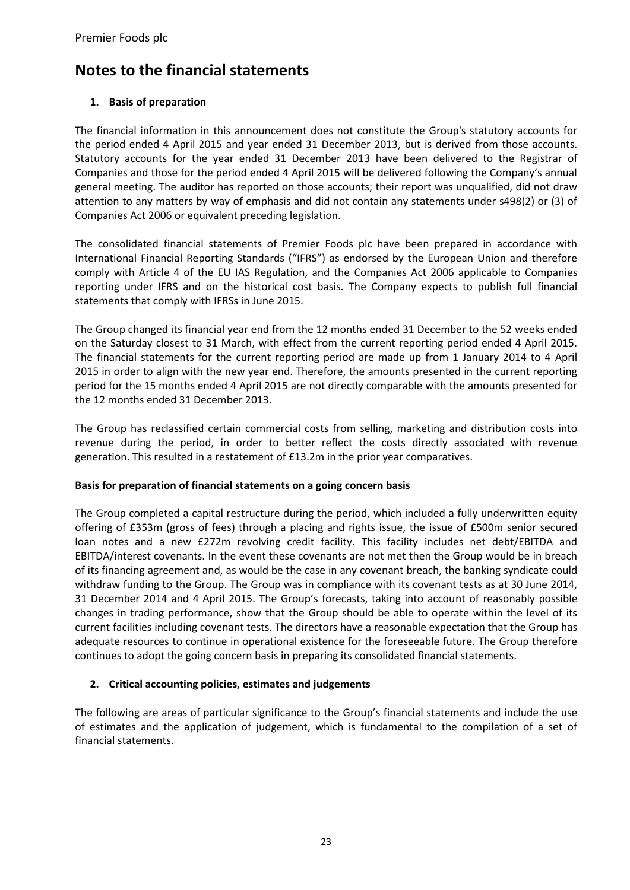## **Notes to the financial statements**

## **1. Basis of preparation**

The financial information in this announcement does not constitute the Group's statutory accounts for the period ended 4 April 2015 and year ended 31 December 2013, but is derived from those accounts. Statutory accounts for the year ended 31 December 2013 have been delivered to the Registrar of Companies and those for the period ended 4 April 2015 will be delivered following the Company's annual general meeting. The auditor has reported on those accounts; their report was unqualified, did not draw attention to any matters by way of emphasis and did not contain any statements under s498(2) or (3) of Companies Act 2006 or equivalent preceding legislation.

The consolidated financial statements of Premier Foods plc have been prepared in accordance with International Financial Reporting Standards ("IFRS") as endorsed by the European Union and therefore comply with Article 4 of the EU IAS Regulation, and the Companies Act 2006 applicable to Companies reporting under IFRS and on the historical cost basis. The Company expects to publish full financial statements that comply with IFRSs in June 2015.

The Group changed its financial year end from the 12 months ended 31 December to the 52 weeks ended on the Saturday closest to 31 March, with effect from the current reporting period ended 4 April 2015. The financial statements for the current reporting period are made up from 1 January 2014 to 4 April 2015 in order to align with the new year end. Therefore, the amounts presented in the current reporting period for the 15 months ended 4 April 2015 are not directly comparable with the amounts presented for the 12 months ended 31 December 2013.

The Group has reclassified certain commercial costs from selling, marketing and distribution costs into revenue during the period, in order to better reflect the costs directly associated with revenue generation. This resulted in a restatement of £13.2m in the prior year comparatives.

## **Basis for preparation of financial statements on a going concern basis**

The Group completed a capital restructure during the period, which included a fully underwritten equity offering of £353m (gross of fees) through a placing and rights issue, the issue of £500m senior secured loan notes and a new £272m revolving credit facility. This facility includes net debt/EBITDA and EBITDA/interest covenants. In the event these covenants are not met then the Group would be in breach of its financing agreement and, as would be the case in any covenant breach, the banking syndicate could withdraw funding to the Group. The Group was in compliance with its covenant tests as at 30 June 2014, 31 December 2014 and 4 April 2015. The Group's forecasts, taking into account of reasonably possible changes in trading performance, show that the Group should be able to operate within the level of its current facilities including covenant tests. The directors have a reasonable expectation that the Group has adequate resources to continue in operational existence for the foreseeable future. The Group therefore continues to adopt the going concern basis in preparing its consolidated financial statements.

## **2. Critical accounting policies, estimates and judgements**

The following are areas of particular significance to the Group's financial statements and include the use of estimates and the application of judgement, which is fundamental to the compilation of a set of financial statements.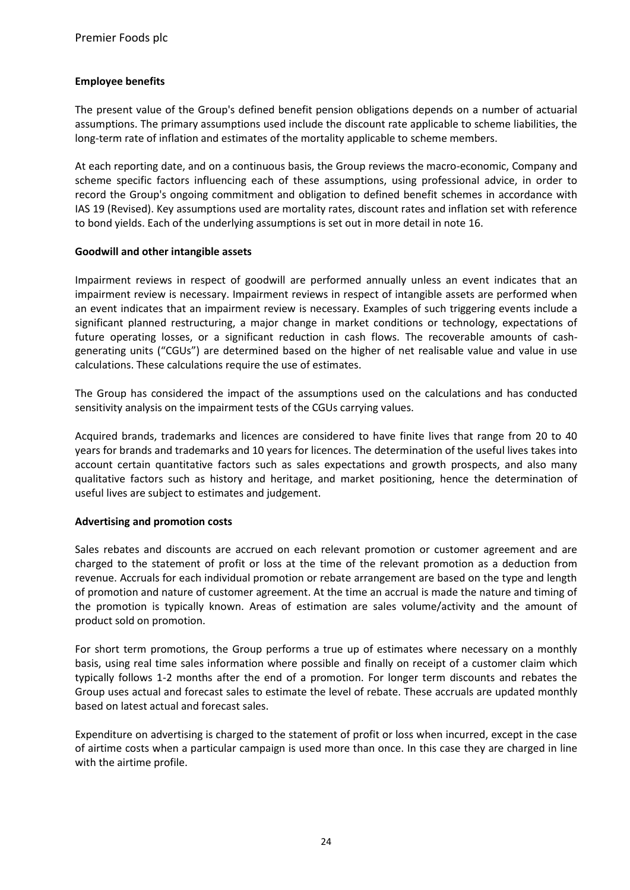## **Employee benefits**

The present value of the Group's defined benefit pension obligations depends on a number of actuarial assumptions. The primary assumptions used include the discount rate applicable to scheme liabilities, the long-term rate of inflation and estimates of the mortality applicable to scheme members.

At each reporting date, and on a continuous basis, the Group reviews the macro-economic, Company and scheme specific factors influencing each of these assumptions, using professional advice, in order to record the Group's ongoing commitment and obligation to defined benefit schemes in accordance with IAS 19 (Revised). Key assumptions used are mortality rates, discount rates and inflation set with reference to bond yields. Each of the underlying assumptions is set out in more detail in note 16.

## **Goodwill and other intangible assets**

Impairment reviews in respect of goodwill are performed annually unless an event indicates that an impairment review is necessary. Impairment reviews in respect of intangible assets are performed when an event indicates that an impairment review is necessary. Examples of such triggering events include a significant planned restructuring, a major change in market conditions or technology, expectations of future operating losses, or a significant reduction in cash flows. The recoverable amounts of cashgenerating units ("CGUs") are determined based on the higher of net realisable value and value in use calculations. These calculations require the use of estimates.

The Group has considered the impact of the assumptions used on the calculations and has conducted sensitivity analysis on the impairment tests of the CGUs carrying values.

Acquired brands, trademarks and licences are considered to have finite lives that range from 20 to 40 years for brands and trademarks and 10 years for licences. The determination of the useful lives takes into account certain quantitative factors such as sales expectations and growth prospects, and also many qualitative factors such as history and heritage, and market positioning, hence the determination of useful lives are subject to estimates and judgement.

#### **Advertising and promotion costs**

Sales rebates and discounts are accrued on each relevant promotion or customer agreement and are charged to the statement of profit or loss at the time of the relevant promotion as a deduction from revenue. Accruals for each individual promotion or rebate arrangement are based on the type and length of promotion and nature of customer agreement. At the time an accrual is made the nature and timing of the promotion is typically known. Areas of estimation are sales volume/activity and the amount of product sold on promotion.

For short term promotions, the Group performs a true up of estimates where necessary on a monthly basis, using real time sales information where possible and finally on receipt of a customer claim which typically follows 1-2 months after the end of a promotion. For longer term discounts and rebates the Group uses actual and forecast sales to estimate the level of rebate. These accruals are updated monthly based on latest actual and forecast sales.

Expenditure on advertising is charged to the statement of profit or loss when incurred, except in the case of airtime costs when a particular campaign is used more than once. In this case they are charged in line with the airtime profile.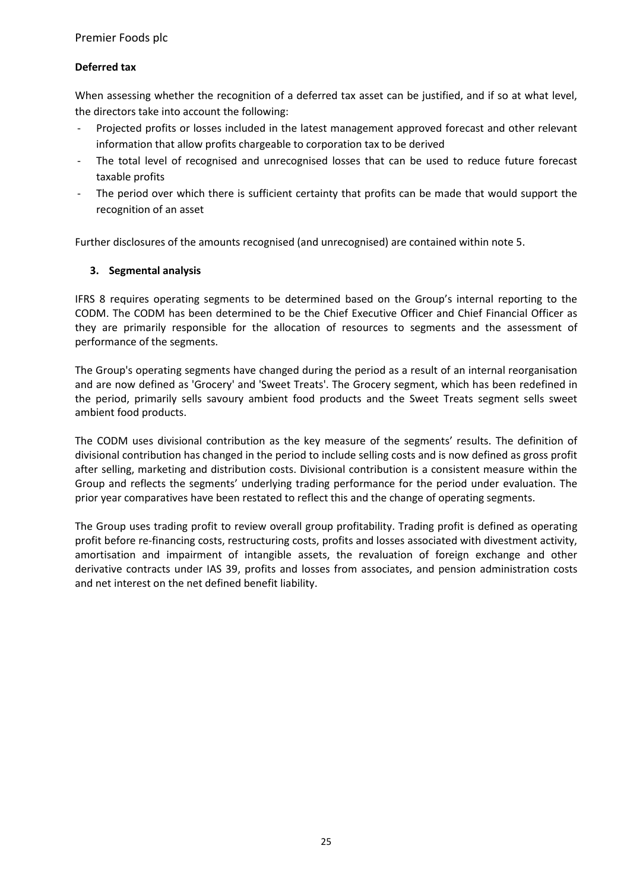## **Deferred tax**

When assessing whether the recognition of a deferred tax asset can be justified, and if so at what level, the directors take into account the following:

- Projected profits or losses included in the latest management approved forecast and other relevant information that allow profits chargeable to corporation tax to be derived
- The total level of recognised and unrecognised losses that can be used to reduce future forecast taxable profits
- The period over which there is sufficient certainty that profits can be made that would support the recognition of an asset

Further disclosures of the amounts recognised (and unrecognised) are contained within note 5.

## **3. Segmental analysis**

IFRS 8 requires operating segments to be determined based on the Group's internal reporting to the CODM. The CODM has been determined to be the Chief Executive Officer and Chief Financial Officer as they are primarily responsible for the allocation of resources to segments and the assessment of performance of the segments.

The Group's operating segments have changed during the period as a result of an internal reorganisation and are now defined as 'Grocery' and 'Sweet Treats'. The Grocery segment, which has been redefined in the period, primarily sells savoury ambient food products and the Sweet Treats segment sells sweet ambient food products.

The CODM uses divisional contribution as the key measure of the segments' results. The definition of divisional contribution has changed in the period to include selling costs and is now defined as gross profit after selling, marketing and distribution costs. Divisional contribution is a consistent measure within the Group and reflects the segments' underlying trading performance for the period under evaluation. The prior year comparatives have been restated to reflect this and the change of operating segments.

The Group uses trading profit to review overall group profitability. Trading profit is defined as operating profit before re-financing costs, restructuring costs, profits and losses associated with divestment activity, amortisation and impairment of intangible assets, the revaluation of foreign exchange and other derivative contracts under IAS 39, profits and losses from associates, and pension administration costs and net interest on the net defined benefit liability.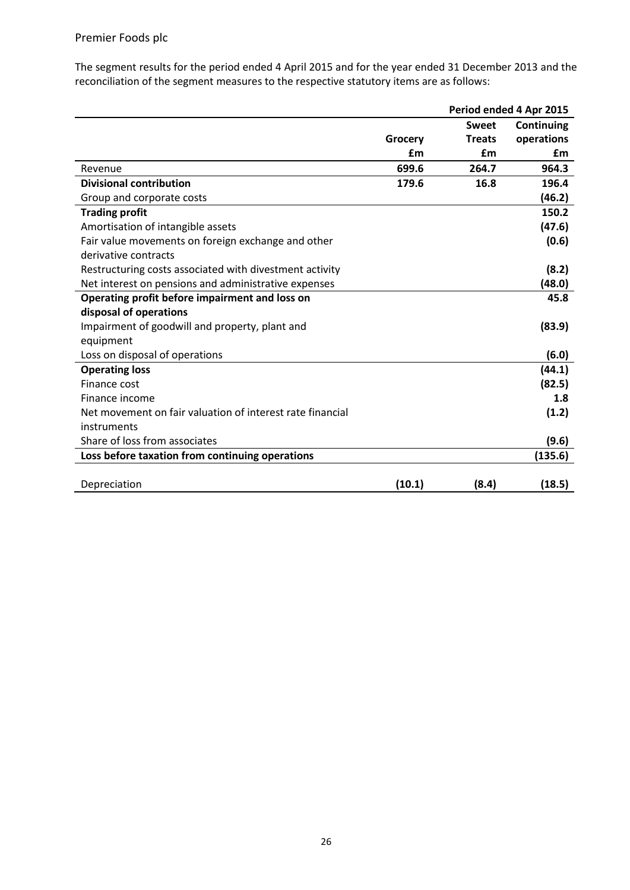The segment results for the period ended 4 April 2015 and for the year ended 31 December 2013 and the reconciliation of the segment measures to the respective statutory items are as follows:

|                                                           |         |               | Period ended 4 Apr 2015 |
|-----------------------------------------------------------|---------|---------------|-------------------------|
|                                                           |         | <b>Sweet</b>  | Continuing              |
|                                                           | Grocery | <b>Treats</b> | operations              |
|                                                           | £m      | £m            | £m                      |
| Revenue                                                   | 699.6   | 264.7         | 964.3                   |
| <b>Divisional contribution</b>                            | 179.6   | 16.8          | 196.4                   |
| Group and corporate costs                                 |         |               | (46.2)                  |
| <b>Trading profit</b>                                     |         |               | 150.2                   |
| Amortisation of intangible assets                         |         |               | (47.6)                  |
| Fair value movements on foreign exchange and other        |         |               | (0.6)                   |
| derivative contracts                                      |         |               |                         |
| Restructuring costs associated with divestment activity   |         |               | (8.2)                   |
| Net interest on pensions and administrative expenses      |         |               | (48.0)                  |
| Operating profit before impairment and loss on            |         |               | 45.8                    |
| disposal of operations                                    |         |               |                         |
| Impairment of goodwill and property, plant and            |         |               | (83.9)                  |
| equipment                                                 |         |               |                         |
| Loss on disposal of operations                            |         |               | (6.0)                   |
| <b>Operating loss</b>                                     |         |               | (44.1)                  |
| Finance cost                                              |         |               | (82.5)                  |
| Finance income                                            |         |               | 1.8                     |
| Net movement on fair valuation of interest rate financial |         |               | (1.2)                   |
| instruments                                               |         |               |                         |
| Share of loss from associates                             |         |               | (9.6)                   |
| Loss before taxation from continuing operations           |         |               | (135.6)                 |
|                                                           |         |               |                         |
| Depreciation                                              | (10.1)  | (8.4)         | (18.5)                  |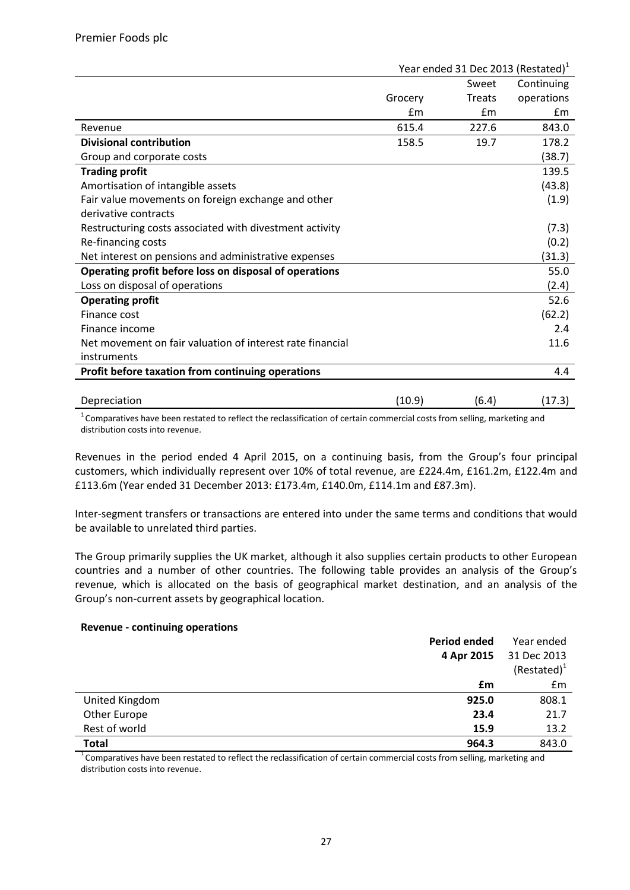|                                                           | Year ended 31 Dec 2013 (Restated) $1$ |               |            |  |
|-----------------------------------------------------------|---------------------------------------|---------------|------------|--|
|                                                           |                                       | Sweet         | Continuing |  |
|                                                           | Grocery                               | <b>Treats</b> | operations |  |
|                                                           | Em                                    | £m            | £m         |  |
| Revenue                                                   | 615.4                                 | 227.6         | 843.0      |  |
| <b>Divisional contribution</b>                            | 158.5                                 | 19.7          | 178.2      |  |
| Group and corporate costs                                 |                                       |               | (38.7)     |  |
| <b>Trading profit</b>                                     |                                       |               | 139.5      |  |
| Amortisation of intangible assets                         |                                       |               | (43.8)     |  |
| Fair value movements on foreign exchange and other        |                                       |               | (1.9)      |  |
| derivative contracts                                      |                                       |               |            |  |
| Restructuring costs associated with divestment activity   |                                       |               | (7.3)      |  |
| Re-financing costs                                        |                                       |               | (0.2)      |  |
| Net interest on pensions and administrative expenses      |                                       |               | (31.3)     |  |
| Operating profit before loss on disposal of operations    |                                       |               | 55.0       |  |
| Loss on disposal of operations                            |                                       |               | (2.4)      |  |
| <b>Operating profit</b>                                   |                                       |               | 52.6       |  |
| Finance cost                                              |                                       |               | (62.2)     |  |
| Finance income                                            |                                       |               | 2.4        |  |
| Net movement on fair valuation of interest rate financial |                                       |               | 11.6       |  |
| instruments                                               |                                       |               |            |  |
| Profit before taxation from continuing operations         |                                       |               | 4.4        |  |
|                                                           |                                       |               |            |  |
| Depreciation                                              | (10.9)                                | (6.4)         | (17.3)     |  |

 $1$ Comparatives have been restated to reflect the reclassification of certain commercial costs from selling, marketing and distribution costs into revenue.

Revenues in the period ended 4 April 2015, on a continuing basis, from the Group's four principal customers, which individually represent over 10% of total revenue, are £224.4m, £161.2m, £122.4m and £113.6m (Year ended 31 December 2013: £173.4m, £140.0m, £114.1m and £87.3m).

Inter-segment transfers or transactions are entered into under the same terms and conditions that would be available to unrelated third parties.

The Group primarily supplies the UK market, although it also supplies certain products to other European countries and a number of other countries. The following table provides an analysis of the Group's revenue, which is allocated on the basis of geographical market destination, and an analysis of the Group's non-current assets by geographical location.

## **Revenue - continuing operations**

|                | Period ended | Year ended     |
|----------------|--------------|----------------|
|                | 4 Apr 2015   | 31 Dec 2013    |
|                |              | $(Restated)^1$ |
|                | £m           | Em             |
| United Kingdom | 925.0        | 808.1          |
| Other Europe   | 23.4         | 21.7           |
| Rest of world  | 15.9         | 13.2           |
| <b>Total</b>   | 964.3        | 843.0          |

 $1<sup>1</sup>$  Comparatives have been restated to reflect the reclassification of certain commercial costs from selling, marketing and distribution costs into revenue.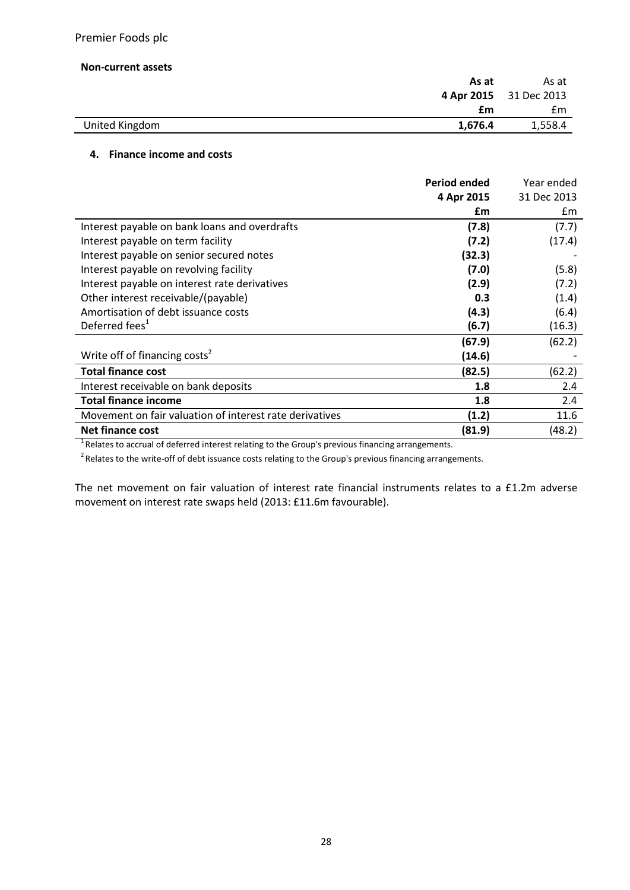#### **Non-current assets**

| As at                     | As at                  |
|---------------------------|------------------------|
|                           | 4 Apr 2015 31 Dec 2013 |
| £m                        | £m                     |
| United Kingdom<br>1,676.4 | 1,558.4                |

#### **4. Finance income and costs**

|                                                         | <b>Period ended</b> | Year ended  |
|---------------------------------------------------------|---------------------|-------------|
|                                                         | 4 Apr 2015          | 31 Dec 2013 |
|                                                         | £m                  | £m          |
| Interest payable on bank loans and overdrafts           | (7.8)               | (7.7)       |
| Interest payable on term facility                       | (7.2)               | (17.4)      |
| Interest payable on senior secured notes                | (32.3)              |             |
| Interest payable on revolving facility                  | (7.0)               | (5.8)       |
| Interest payable on interest rate derivatives           | (2.9)               | (7.2)       |
| Other interest receivable/(payable)                     | 0.3                 | (1.4)       |
| Amortisation of debt issuance costs                     | (4.3)               | (6.4)       |
| Deferred fees <sup>1</sup>                              | (6.7)               | (16.3)      |
|                                                         | (67.9)              | (62.2)      |
| Write off of financing costs <sup>2</sup>               | (14.6)              |             |
| <b>Total finance cost</b>                               | (82.5)              | (62.2)      |
| Interest receivable on bank deposits                    | 1.8                 | 2.4         |
| <b>Total finance income</b>                             | 1.8                 | 2.4         |
| Movement on fair valuation of interest rate derivatives | (1.2)               | 11.6        |
| Net finance cost                                        | (81.9)              | (48.2)      |

 $1$ Relates to accrual of deferred interest relating to the Group's previous financing arrangements.

 $2$  Relates to the write-off of debt issuance costs relating to the Group's previous financing arrangements.

The net movement on fair valuation of interest rate financial instruments relates to a £1.2m adverse movement on interest rate swaps held (2013: £11.6m favourable).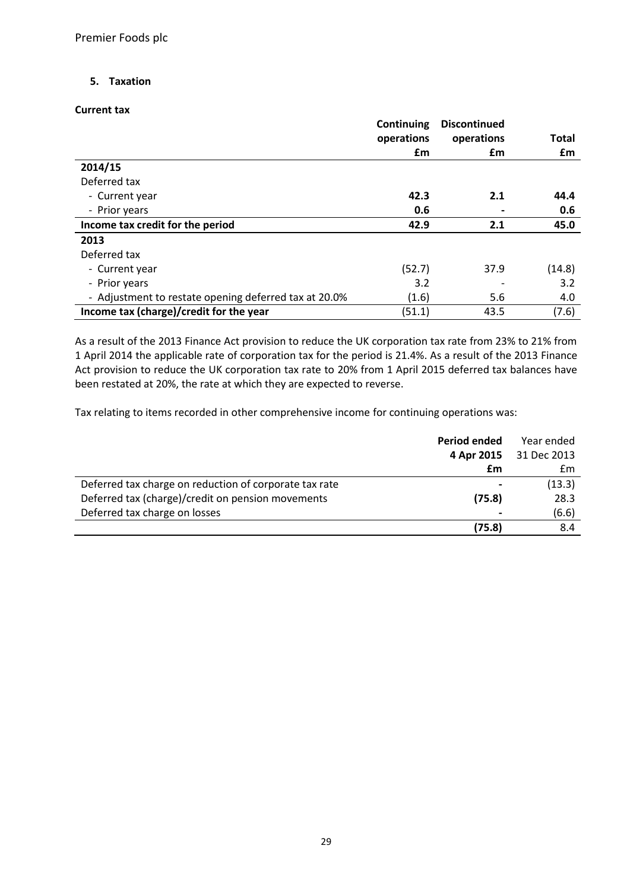## **5. Taxation**

#### **Current tax**

|                                                       | <b>Continuing</b> | <b>Discontinued</b> |              |
|-------------------------------------------------------|-------------------|---------------------|--------------|
|                                                       | operations        | operations          | <b>Total</b> |
|                                                       | £m                | £m                  | £m           |
| 2014/15                                               |                   |                     |              |
| Deferred tax                                          |                   |                     |              |
| - Current year                                        | 42.3              | 2.1                 | 44.4         |
| - Prior years                                         | 0.6               |                     | 0.6          |
| Income tax credit for the period                      | 42.9              | 2.1                 | 45.0         |
| 2013                                                  |                   |                     |              |
| Deferred tax                                          |                   |                     |              |
| - Current year                                        | (52.7)            | 37.9                | (14.8)       |
| - Prior years                                         | 3.2               |                     | 3.2          |
| - Adjustment to restate opening deferred tax at 20.0% | (1.6)             | 5.6                 | 4.0          |
| Income tax (charge)/credit for the year               | (51.1)            | 43.5                | (7.6)        |

As a result of the 2013 Finance Act provision to reduce the UK corporation tax rate from 23% to 21% from 1 April 2014 the applicable rate of corporation tax for the period is 21.4%. As a result of the 2013 Finance Act provision to reduce the UK corporation tax rate to 20% from 1 April 2015 deferred tax balances have been restated at 20%, the rate at which they are expected to reverse.

Tax relating to items recorded in other comprehensive income for continuing operations was:

|                                                        | Period ended | Year ended             |
|--------------------------------------------------------|--------------|------------------------|
|                                                        |              | 4 Apr 2015 31 Dec 2013 |
|                                                        | £m           | £m                     |
| Deferred tax charge on reduction of corporate tax rate |              | (13.3)                 |
| Deferred tax (charge)/credit on pension movements      | (75.8)       | 28.3                   |
| Deferred tax charge on losses                          |              | (6.6)                  |
|                                                        | (75.8)       | 8.4                    |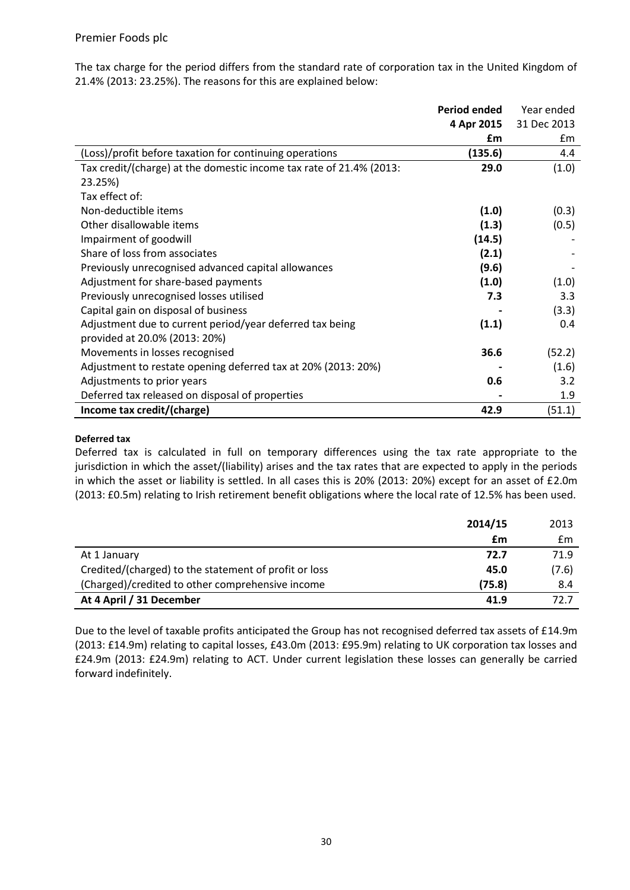The tax charge for the period differs from the standard rate of corporation tax in the United Kingdom of 21.4% (2013: 23.25%). The reasons for this are explained below:

|                                                                     | <b>Period ended</b> | Year ended  |
|---------------------------------------------------------------------|---------------------|-------------|
|                                                                     | 4 Apr 2015          | 31 Dec 2013 |
|                                                                     | £m                  | £m          |
| (Loss)/profit before taxation for continuing operations             | (135.6)             | 4.4         |
| Tax credit/(charge) at the domestic income tax rate of 21.4% (2013: | 29.0                | (1.0)       |
| 23.25%)                                                             |                     |             |
| Tax effect of:                                                      |                     |             |
| Non-deductible items                                                | (1.0)               | (0.3)       |
| Other disallowable items                                            | (1.3)               | (0.5)       |
| Impairment of goodwill                                              | (14.5)              |             |
| Share of loss from associates                                       | (2.1)               |             |
| Previously unrecognised advanced capital allowances                 | (9.6)               |             |
| Adjustment for share-based payments                                 | (1.0)               | (1.0)       |
| Previously unrecognised losses utilised                             | 7.3                 | 3.3         |
| Capital gain on disposal of business                                |                     | (3.3)       |
| Adjustment due to current period/year deferred tax being            | (1.1)               | 0.4         |
| provided at 20.0% (2013: 20%)                                       |                     |             |
| Movements in losses recognised                                      | 36.6                | (52.2)      |
| Adjustment to restate opening deferred tax at 20% (2013: 20%)       |                     | (1.6)       |
| Adjustments to prior years                                          | 0.6                 | 3.2         |
| Deferred tax released on disposal of properties                     |                     | 1.9         |
| Income tax credit/(charge)                                          | 42.9                | (51.1)      |

#### **Deferred tax**

Deferred tax is calculated in full on temporary differences using the tax rate appropriate to the jurisdiction in which the asset/(liability) arises and the tax rates that are expected to apply in the periods in which the asset or liability is settled. In all cases this is 20% (2013: 20%) except for an asset of £2.0m (2013: £0.5m) relating to Irish retirement benefit obligations where the local rate of 12.5% has been used.

|                                                       | 2014/15 | 2013  |
|-------------------------------------------------------|---------|-------|
|                                                       | £m      | £m    |
| At 1 January                                          | 72.7    | 71.9  |
| Credited/(charged) to the statement of profit or loss | 45.0    | (7.6) |
| (Charged)/credited to other comprehensive income      | (75.8)  | 8.4   |
| At 4 April / 31 December                              | 41.9    | 72.7  |

Due to the level of taxable profits anticipated the Group has not recognised deferred tax assets of £14.9m (2013: £14.9m) relating to capital losses, £43.0m (2013: £95.9m) relating to UK corporation tax losses and £24.9m (2013: £24.9m) relating to ACT. Under current legislation these losses can generally be carried forward indefinitely.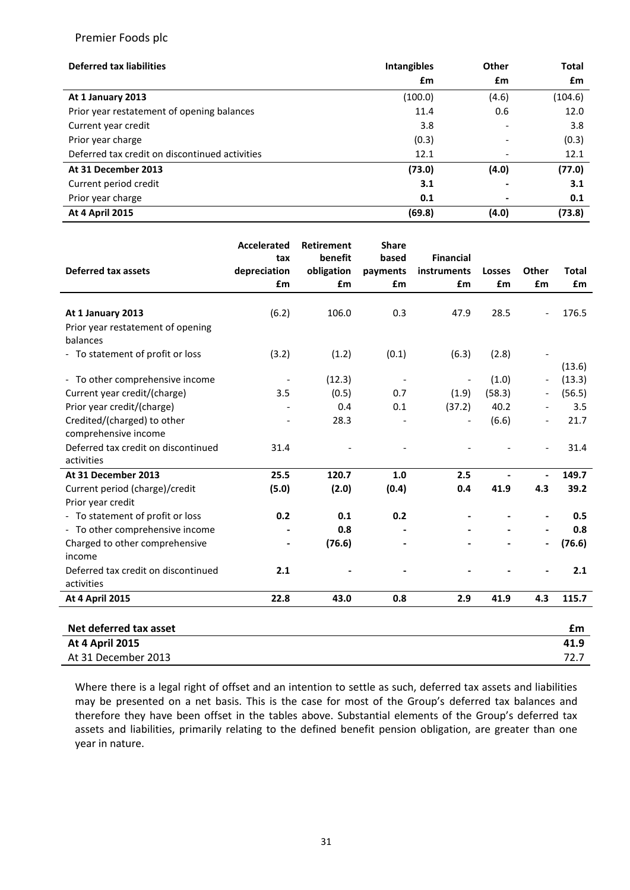| <b>Deferred tax liabilities</b>                | <b>Intangibles</b> | Other                    | <b>Total</b> |
|------------------------------------------------|--------------------|--------------------------|--------------|
|                                                | £m                 | £m                       | £m           |
| At 1 January 2013                              | (100.0)            | (4.6)                    | (104.6)      |
| Prior year restatement of opening balances     | 11.4               | 0.6                      | 12.0         |
| Current year credit                            | 3.8                | $\overline{\phantom{0}}$ | 3.8          |
| Prior year charge                              | (0.3)              |                          | (0.3)        |
| Deferred tax credit on discontinued activities | 12.1               |                          | 12.1         |
| At 31 December 2013                            | (73.0)             | (4.0)                    | (77.0)       |
| Current period credit                          | 3.1                |                          | 3.1          |
| Prior year charge                              | 0.1                |                          | 0.1          |
| <b>At 4 April 2015</b>                         | (69.8)             | (4.0)                    | (73.8)       |

|                                     | Accelerated              | <b>Retirement</b> | <b>Share</b>             |                  |               |                              |              |
|-------------------------------------|--------------------------|-------------------|--------------------------|------------------|---------------|------------------------------|--------------|
|                                     | tax                      | benefit           | based                    | <b>Financial</b> |               |                              |              |
| <b>Deferred tax assets</b>          | depreciation             | obligation        | payments                 | instruments      | <b>Losses</b> | Other                        | <b>Total</b> |
|                                     | £m                       | £m                | £m                       | £m               | £m            | £m                           | £m           |
| At 1 January 2013                   | (6.2)                    | 106.0             | 0.3                      | 47.9             | 28.5          | $\overline{\phantom{a}}$     | 176.5        |
| Prior year restatement of opening   |                          |                   |                          |                  |               |                              |              |
| balances                            |                          |                   |                          |                  |               |                              |              |
| - To statement of profit or loss    | (3.2)                    | (1.2)             | (0.1)                    | (6.3)            | (2.8)         |                              |              |
|                                     |                          |                   |                          |                  |               |                              | (13.6)       |
| - To other comprehensive income     | $\overline{\phantom{a}}$ | (12.3)            | $\overline{\phantom{a}}$ |                  | (1.0)         |                              | (13.3)       |
| Current year credit/(charge)        | 3.5                      | (0.5)             | 0.7                      | (1.9)            | (58.3)        |                              | (56.5)       |
| Prior year credit/(charge)          |                          | 0.4               | 0.1                      | (37.2)           | 40.2          |                              | 3.5          |
| Credited/(charged) to other         |                          | 28.3              |                          |                  | (6.6)         |                              | 21.7         |
| comprehensive income                |                          |                   |                          |                  |               |                              |              |
| Deferred tax credit on discontinued | 31.4                     |                   |                          |                  |               | $\overline{\phantom{a}}$     | 31.4         |
| activities                          |                          |                   |                          |                  |               |                              |              |
| At 31 December 2013                 | 25.5                     | 120.7             | 1.0                      | 2.5              |               | $\blacksquare$               | 149.7        |
| Current period (charge)/credit      | (5.0)                    | (2.0)             | (0.4)                    | 0.4              | 41.9          | 4.3                          | 39.2         |
| Prior year credit                   |                          |                   |                          |                  |               |                              |              |
| - To statement of profit or loss    | 0.2                      | 0.1               | 0.2                      |                  |               |                              | 0.5          |
| - To other comprehensive income     |                          | 0.8               |                          |                  |               |                              | 0.8          |
| Charged to other comprehensive      |                          | (76.6)            |                          |                  |               | $\qquad \qquad \blacksquare$ | (76.6)       |
| income                              |                          |                   |                          |                  |               |                              |              |
| Deferred tax credit on discontinued | 2.1                      |                   |                          |                  |               |                              | 2.1          |
| activities                          |                          |                   |                          |                  |               |                              |              |
| <b>At 4 April 2015</b>              | 22.8                     | 43.0              | 0.8                      | 2.9              | 41.9          | 4.3                          | 115.7        |
|                                     |                          |                   |                          |                  |               |                              |              |
| Net deferred tax asset              |                          |                   |                          |                  |               |                              | £m           |
| <b>At 4 April 2015</b>              |                          |                   |                          |                  |               |                              | 41.9         |
| At 31 December 2013                 |                          |                   |                          |                  |               |                              | 72.7         |

Where there is a legal right of offset and an intention to settle as such, deferred tax assets and liabilities may be presented on a net basis. This is the case for most of the Group's deferred tax balances and therefore they have been offset in the tables above. Substantial elements of the Group's deferred tax assets and liabilities, primarily relating to the defined benefit pension obligation, are greater than one year in nature.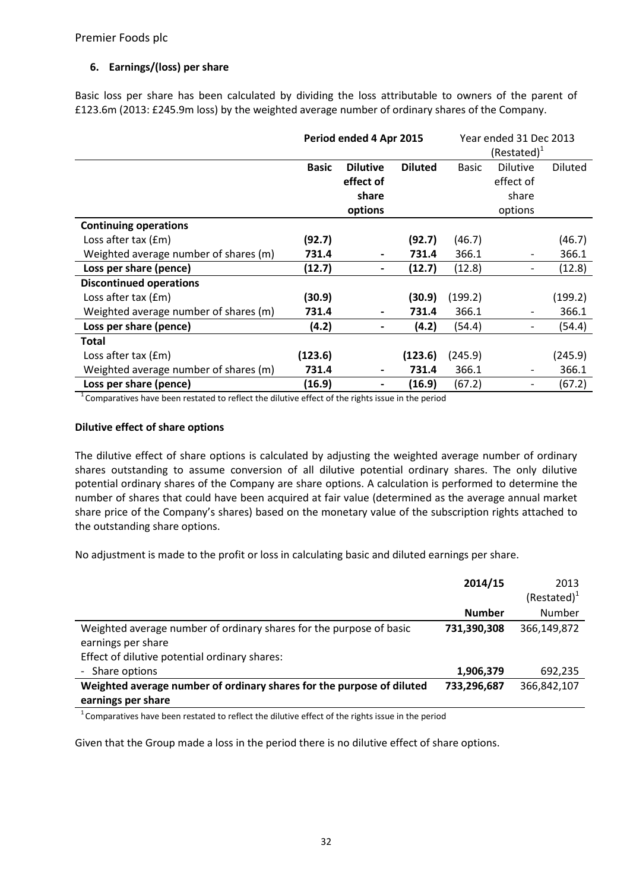## **6. Earnings/(loss) per share**

Basic loss per share has been calculated by dividing the loss attributable to owners of the parent of £123.6m (2013: £245.9m loss) by the weighted average number of ordinary shares of the Company.

|                                       | Period ended 4 Apr 2015 |                              | Year ended 31 Dec 2013<br>$(Restated)^T$ |              |                 |                |
|---------------------------------------|-------------------------|------------------------------|------------------------------------------|--------------|-----------------|----------------|
|                                       | <b>Basic</b>            | <b>Dilutive</b>              | <b>Diluted</b>                           | <b>Basic</b> | <b>Dilutive</b> | <b>Diluted</b> |
|                                       |                         | effect of                    |                                          |              | effect of       |                |
|                                       |                         | share                        |                                          |              | share           |                |
|                                       |                         | options                      |                                          |              | options         |                |
| <b>Continuing operations</b>          |                         |                              |                                          |              |                 |                |
| Loss after tax (£m)                   | (92.7)                  |                              | (92.7)                                   | (46.7)       |                 | (46.7)         |
| Weighted average number of shares (m) | 731.4                   | $\blacksquare$               | 731.4                                    | 366.1        | -               | 366.1          |
| Loss per share (pence)                | (12.7)                  | $\blacksquare$               | (12.7)                                   | (12.8)       | -               | (12.8)         |
| <b>Discontinued operations</b>        |                         |                              |                                          |              |                 |                |
| Loss after tax (£m)                   | (30.9)                  |                              | (30.9)                                   | (199.2)      |                 | (199.2)        |
| Weighted average number of shares (m) | 731.4                   | $\blacksquare$               | 731.4                                    | 366.1        | -               | 366.1          |
| Loss per share (pence)                | (4.2)                   |                              | (4.2)                                    | (54.4)       |                 | (54.4)         |
| Total                                 |                         |                              |                                          |              |                 |                |
| Loss after tax (£m)                   | (123.6)                 |                              | (123.6)                                  | (245.9)      |                 | (245.9)        |
| Weighted average number of shares (m) | 731.4                   | $\blacksquare$               | 731.4                                    | 366.1        |                 | 366.1          |
| Loss per share (pence)                | (16.9)                  | $\qquad \qquad \blacksquare$ | (16.9)                                   | (67.2)       |                 | (67.2)         |

<sup>1</sup> Comparatives have been restated to reflect the dilutive effect of the rights issue in the period

## **Dilutive effect of share options**

The dilutive effect of share options is calculated by adjusting the weighted average number of ordinary shares outstanding to assume conversion of all dilutive potential ordinary shares. The only dilutive potential ordinary shares of the Company are share options. A calculation is performed to determine the number of shares that could have been acquired at fair value (determined as the average annual market share price of the Company's shares) based on the monetary value of the subscription rights attached to the outstanding share options.

No adjustment is made to the profit or loss in calculating basic and diluted earnings per share.

|                                                                                                                                            | 2014/15       | 2013<br>$(Restated)^1$ |
|--------------------------------------------------------------------------------------------------------------------------------------------|---------------|------------------------|
|                                                                                                                                            | <b>Number</b> | Number                 |
| Weighted average number of ordinary shares for the purpose of basic<br>earnings per share<br>Effect of dilutive potential ordinary shares: | 731,390,308   | 366,149,872            |
| - Share options                                                                                                                            | 1,906,379     | 692,235                |
| Weighted average number of ordinary shares for the purpose of diluted<br>earnings per share                                                | 733,296,687   | 366,842,107            |

 $1$ Comparatives have been restated to reflect the dilutive effect of the rights issue in the period

Given that the Group made a loss in the period there is no dilutive effect of share options.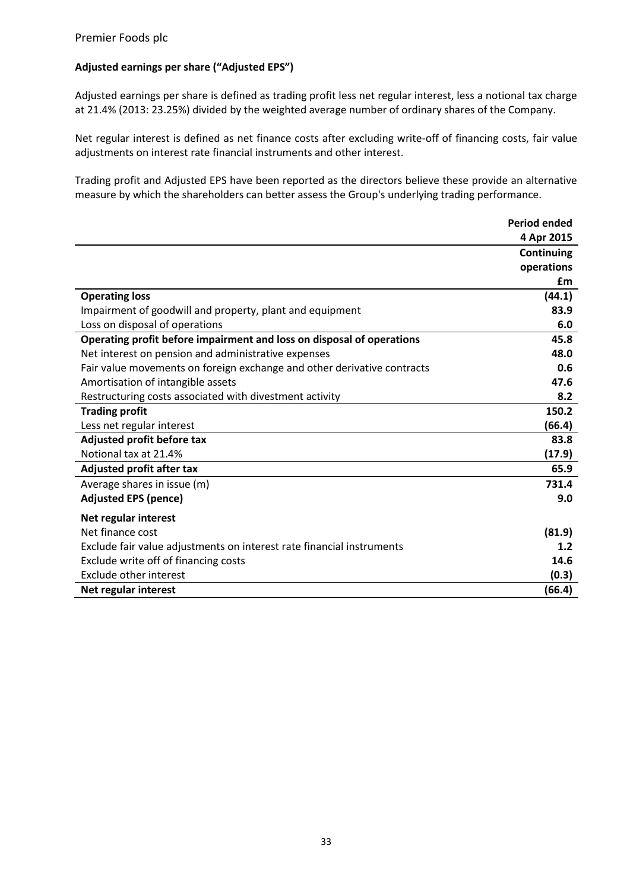## **Adjusted earnings per share ("Adjusted EPS")**

Adjusted earnings per share is defined as trading profit less net regular interest, less a notional tax charge at 21.4% (2013: 23.25%) divided by the weighted average number of ordinary shares of the Company.

Net regular interest is defined as net finance costs after excluding write-off of financing costs, fair value adjustments on interest rate financial instruments and other interest.

Trading profit and Adjusted EPS have been reported as the directors believe these provide an alternative measure by which the shareholders can better assess the Group's underlying trading performance.

|                                                                         | <b>Period ended</b> |
|-------------------------------------------------------------------------|---------------------|
|                                                                         | 4 Apr 2015          |
|                                                                         | Continuing          |
|                                                                         | operations          |
|                                                                         | £m                  |
| <b>Operating loss</b>                                                   | (44.1)              |
| Impairment of goodwill and property, plant and equipment                | 83.9                |
| Loss on disposal of operations                                          | 6.0                 |
| Operating profit before impairment and loss on disposal of operations   | 45.8                |
| Net interest on pension and administrative expenses                     | 48.0                |
| Fair value movements on foreign exchange and other derivative contracts | 0.6                 |
| Amortisation of intangible assets                                       | 47.6                |
| Restructuring costs associated with divestment activity                 | 8.2                 |
| <b>Trading profit</b>                                                   | 150.2               |
| Less net regular interest                                               | (66.4)              |
| Adjusted profit before tax                                              | 83.8                |
| Notional tax at 21.4%                                                   | (17.9)              |
| <b>Adjusted profit after tax</b>                                        | 65.9                |
| Average shares in issue (m)                                             | 731.4               |
| <b>Adjusted EPS (pence)</b>                                             | 9.0                 |
| Net regular interest                                                    |                     |
| Net finance cost                                                        | (81.9)              |
| Exclude fair value adjustments on interest rate financial instruments   | 1.2                 |
| Exclude write off of financing costs                                    | 14.6                |
| <b>Exclude other interest</b>                                           | (0.3)               |
| Net regular interest                                                    | (66.4)              |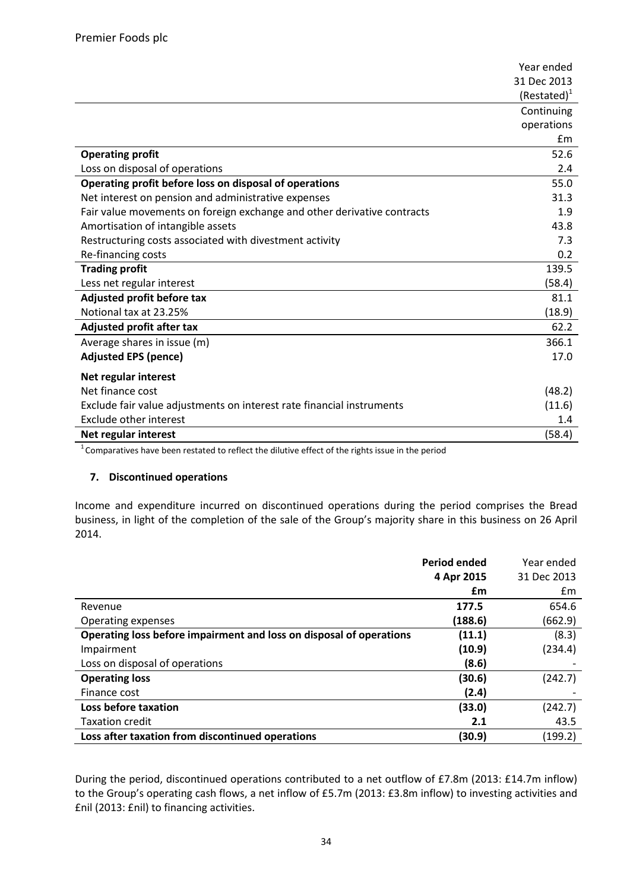|                                                                         | Year ended     |
|-------------------------------------------------------------------------|----------------|
|                                                                         | 31 Dec 2013    |
|                                                                         | $(Restated)^1$ |
|                                                                         | Continuing     |
|                                                                         | operations     |
|                                                                         | Em             |
| <b>Operating profit</b>                                                 | 52.6           |
| Loss on disposal of operations                                          | 2.4            |
| Operating profit before loss on disposal of operations                  | 55.0           |
| Net interest on pension and administrative expenses                     | 31.3           |
| Fair value movements on foreign exchange and other derivative contracts | 1.9            |
| Amortisation of intangible assets                                       | 43.8           |
| Restructuring costs associated with divestment activity                 | 7.3            |
| Re-financing costs                                                      | 0.2            |
| <b>Trading profit</b>                                                   | 139.5          |
| Less net regular interest                                               | (58.4)         |
| Adjusted profit before tax                                              | 81.1           |
| Notional tax at 23.25%                                                  | (18.9)         |
| <b>Adjusted profit after tax</b>                                        | 62.2           |
| Average shares in issue (m)                                             | 366.1          |
| <b>Adjusted EPS (pence)</b>                                             | 17.0           |
| Net regular interest                                                    |                |
| Net finance cost                                                        | (48.2)         |
| Exclude fair value adjustments on interest rate financial instruments   | (11.6)         |
| <b>Exclude other interest</b>                                           | 1.4            |
| Net regular interest                                                    | (58.4)         |

<sup>1</sup> Comparatives have been restated to reflect the dilutive effect of the rights issue in the period

#### **7. Discontinued operations**

Income and expenditure incurred on discontinued operations during the period comprises the Bread business, in light of the completion of the sale of the Group's majority share in this business on 26 April 2014.

|                                                                     | <b>Period ended</b> | Year ended  |
|---------------------------------------------------------------------|---------------------|-------------|
|                                                                     | 4 Apr 2015          | 31 Dec 2013 |
|                                                                     | £m                  | £m          |
| Revenue                                                             | 177.5               | 654.6       |
| Operating expenses                                                  | (188.6)             | (662.9)     |
| Operating loss before impairment and loss on disposal of operations | (11.1)              | (8.3)       |
| Impairment                                                          | (10.9)              | (234.4)     |
| Loss on disposal of operations                                      | (8.6)               |             |
| <b>Operating loss</b>                                               | (30.6)              | (242.7)     |
| Finance cost                                                        | (2.4)               |             |
| Loss before taxation                                                | (33.0)              | (242.7)     |
| <b>Taxation credit</b>                                              | 2.1                 | 43.5        |
| Loss after taxation from discontinued operations                    | (30.9)              | (199.2)     |

During the period, discontinued operations contributed to a net outflow of £7.8m (2013: £14.7m inflow) to the Group's operating cash flows, a net inflow of £5.7m (2013: £3.8m inflow) to investing activities and £nil (2013: £nil) to financing activities.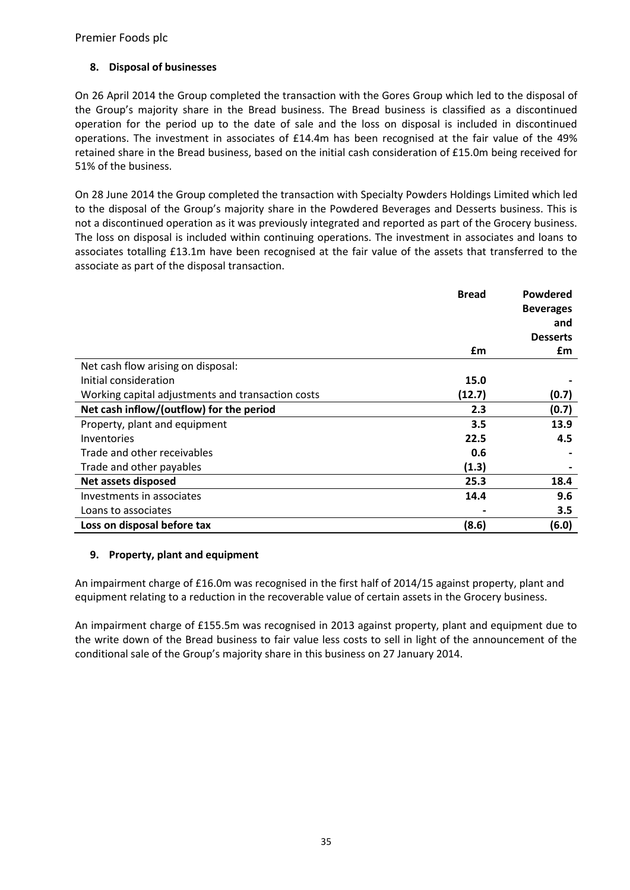## **8. Disposal of businesses**

On 26 April 2014 the Group completed the transaction with the Gores Group which led to the disposal of the Group's majority share in the Bread business. The Bread business is classified as a discontinued operation for the period up to the date of sale and the loss on disposal is included in discontinued operations. The investment in associates of £14.4m has been recognised at the fair value of the 49% retained share in the Bread business, based on the initial cash consideration of £15.0m being received for 51% of the business.

On 28 June 2014 the Group completed the transaction with Specialty Powders Holdings Limited which led to the disposal of the Group's majority share in the Powdered Beverages and Desserts business. This is not a discontinued operation as it was previously integrated and reported as part of the Grocery business. The loss on disposal is included within continuing operations. The investment in associates and loans to associates totalling £13.1m have been recognised at the fair value of the assets that transferred to the associate as part of the disposal transaction.

|                                                   | <b>Bread</b> | Powdered         |
|---------------------------------------------------|--------------|------------------|
|                                                   |              | <b>Beverages</b> |
|                                                   |              | and              |
|                                                   |              | <b>Desserts</b>  |
|                                                   | £m           | £m               |
| Net cash flow arising on disposal:                |              |                  |
| Initial consideration                             | 15.0         |                  |
| Working capital adjustments and transaction costs | (12.7)       | (0.7)            |
| Net cash inflow/(outflow) for the period          | 2.3          | (0.7)            |
| Property, plant and equipment                     | 3.5          | 13.9             |
| Inventories                                       | 22.5         | 4.5              |
| Trade and other receivables                       | 0.6          |                  |
| Trade and other payables                          | (1.3)        |                  |
| Net assets disposed                               | 25.3         | 18.4             |
| Investments in associates                         | 14.4         | 9.6              |
| Loans to associates                               |              | 3.5              |
| Loss on disposal before tax                       | (8.6)        | (6.0)            |

## **9. Property, plant and equipment**

An impairment charge of £16.0m was recognised in the first half of 2014/15 against property, plant and equipment relating to a reduction in the recoverable value of certain assets in the Grocery business.

An impairment charge of £155.5m was recognised in 2013 against property, plant and equipment due to the write down of the Bread business to fair value less costs to sell in light of the announcement of the conditional sale of the Group's majority share in this business on 27 January 2014.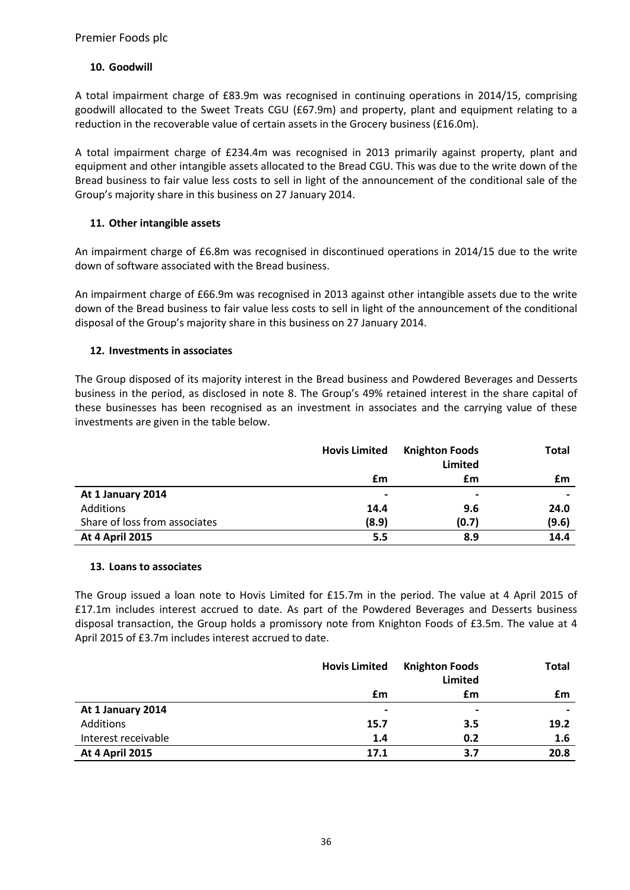## **10. Goodwill**

A total impairment charge of £83.9m was recognised in continuing operations in 2014/15, comprising goodwill allocated to the Sweet Treats CGU (£67.9m) and property, plant and equipment relating to a reduction in the recoverable value of certain assets in the Grocery business (£16.0m).

A total impairment charge of £234.4m was recognised in 2013 primarily against property, plant and equipment and other intangible assets allocated to the Bread CGU. This was due to the write down of the Bread business to fair value less costs to sell in light of the announcement of the conditional sale of the Group's majority share in this business on 27 January 2014.

## **11. Other intangible assets**

An impairment charge of £6.8m was recognised in discontinued operations in 2014/15 due to the write down of software associated with the Bread business.

An impairment charge of £66.9m was recognised in 2013 against other intangible assets due to the write down of the Bread business to fair value less costs to sell in light of the announcement of the conditional disposal of the Group's majority share in this business on 27 January 2014.

## **12. Investments in associates**

The Group disposed of its majority interest in the Bread business and Powdered Beverages and Desserts business in the period, as disclosed in note 8. The Group's 49% retained interest in the share capital of these businesses has been recognised as an investment in associates and the carrying value of these investments are given in the table below.

|                               | <b>Hovis Limited</b> | <b>Knighton Foods</b> | <b>Total</b>   |
|-------------------------------|----------------------|-----------------------|----------------|
|                               |                      | Limited               |                |
|                               | £m                   | £m                    | £m             |
| At 1 January 2014             | $\hbox{ }$           | $\blacksquare$        | $\blacksquare$ |
| Additions                     | 14.4                 | 9.6                   | 24.0           |
| Share of loss from associates | (8.9)                | (0.7)                 | (9.6)          |
| <b>At 4 April 2015</b>        | 5.5                  | 8.9                   | 14.4           |

## **13. Loans to associates**

The Group issued a loan note to Hovis Limited for £15.7m in the period. The value at 4 April 2015 of £17.1m includes interest accrued to date. As part of the Powdered Beverages and Desserts business disposal transaction, the Group holds a promissory note from Knighton Foods of £3.5m. The value at 4 April 2015 of £3.7m includes interest accrued to date.

|                        | <b>Hovis Limited</b> | <b>Knighton Foods</b><br><b>Limited</b> | Total |
|------------------------|----------------------|-----------------------------------------|-------|
|                        | £m                   | £m                                      | £m    |
| At 1 January 2014      | $\blacksquare$       | $\overline{\phantom{0}}$                |       |
| Additions              | 15.7                 | 3.5                                     | 19.2  |
| Interest receivable    | 1.4                  | 0.2                                     | 1.6   |
| <b>At 4 April 2015</b> | 17.1                 | 3.7                                     | 20.8  |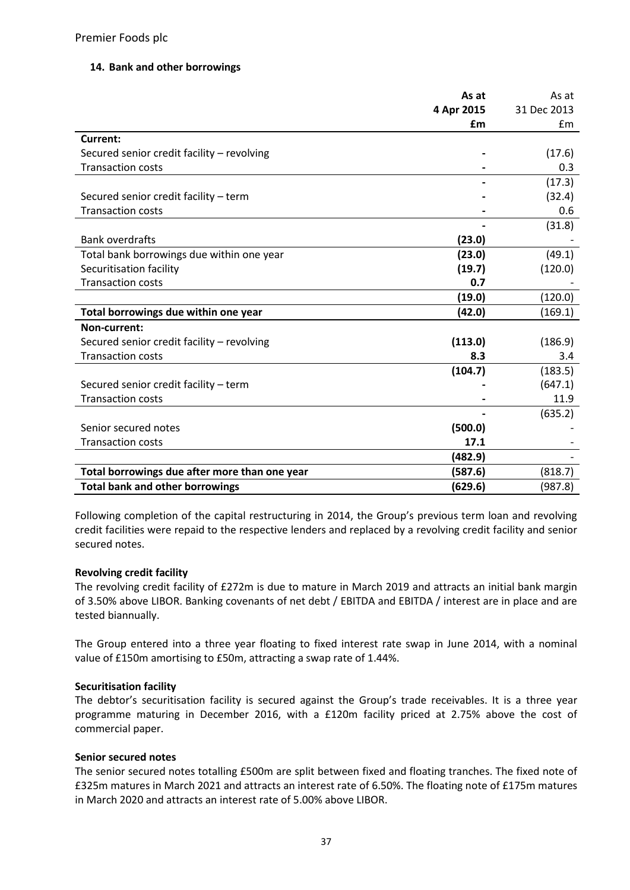## **14. Bank and other borrowings**

|                                               | As at      | As at       |
|-----------------------------------------------|------------|-------------|
|                                               | 4 Apr 2015 | 31 Dec 2013 |
|                                               | £m         | £m          |
| Current:                                      |            |             |
| Secured senior credit facility - revolving    |            | (17.6)      |
| <b>Transaction costs</b>                      |            | 0.3         |
|                                               |            | (17.3)      |
| Secured senior credit facility - term         |            | (32.4)      |
| <b>Transaction costs</b>                      |            | 0.6         |
|                                               |            | (31.8)      |
| <b>Bank overdrafts</b>                        | (23.0)     |             |
| Total bank borrowings due within one year     | (23.0)     | (49.1)      |
| Securitisation facility                       | (19.7)     | (120.0)     |
| <b>Transaction costs</b>                      | 0.7        |             |
|                                               | (19.0)     | (120.0)     |
| Total borrowings due within one year          | (42.0)     | (169.1)     |
| Non-current:                                  |            |             |
| Secured senior credit facility - revolving    | (113.0)    | (186.9)     |
| <b>Transaction costs</b>                      | 8.3        | 3.4         |
|                                               | (104.7)    | (183.5)     |
| Secured senior credit facility - term         |            | (647.1)     |
| <b>Transaction costs</b>                      |            | 11.9        |
|                                               |            | (635.2)     |
| Senior secured notes                          | (500.0)    |             |
| <b>Transaction costs</b>                      | 17.1       |             |
|                                               | (482.9)    |             |
| Total borrowings due after more than one year | (587.6)    | (818.7)     |
| <b>Total bank and other borrowings</b>        | (629.6)    | (987.8)     |

Following completion of the capital restructuring in 2014, the Group's previous term loan and revolving credit facilities were repaid to the respective lenders and replaced by a revolving credit facility and senior secured notes.

#### **Revolving credit facility**

The revolving credit facility of £272m is due to mature in March 2019 and attracts an initial bank margin of 3.50% above LIBOR. Banking covenants of net debt / EBITDA and EBITDA / interest are in place and are tested biannually.

The Group entered into a three year floating to fixed interest rate swap in June 2014, with a nominal value of £150m amortising to £50m, attracting a swap rate of 1.44%.

#### **Securitisation facility**

The debtor's securitisation facility is secured against the Group's trade receivables. It is a three year programme maturing in December 2016, with a £120m facility priced at 2.75% above the cost of commercial paper.

## **Senior secured notes**

The senior secured notes totalling £500m are split between fixed and floating tranches. The fixed note of £325m matures in March 2021 and attracts an interest rate of 6.50%. The floating note of £175m matures in March 2020 and attracts an interest rate of 5.00% above LIBOR.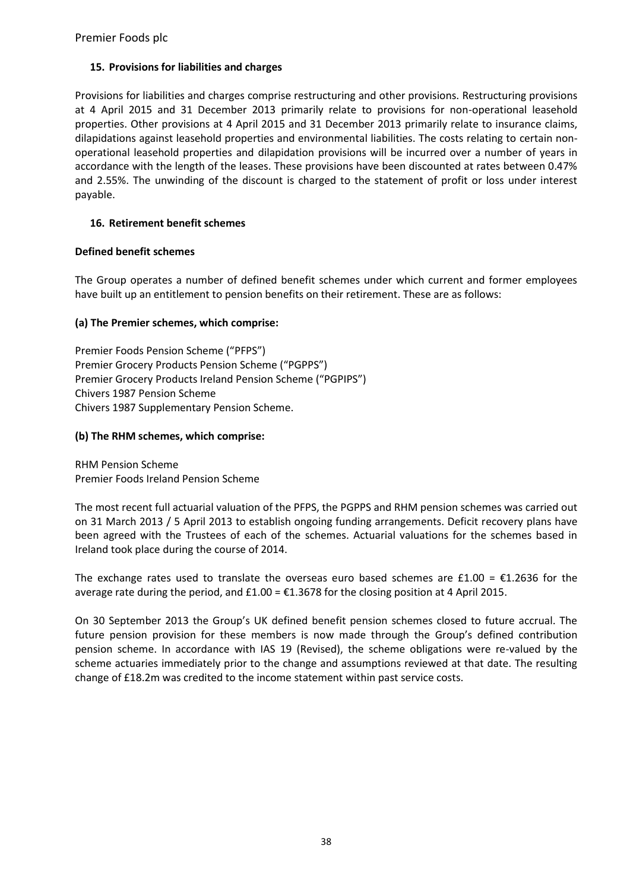## **15. Provisions for liabilities and charges**

Provisions for liabilities and charges comprise restructuring and other provisions. Restructuring provisions at 4 April 2015 and 31 December 2013 primarily relate to provisions for non-operational leasehold properties. Other provisions at 4 April 2015 and 31 December 2013 primarily relate to insurance claims, dilapidations against leasehold properties and environmental liabilities. The costs relating to certain nonoperational leasehold properties and dilapidation provisions will be incurred over a number of years in accordance with the length of the leases. These provisions have been discounted at rates between 0.47% and 2.55%. The unwinding of the discount is charged to the statement of profit or loss under interest payable.

## **16. Retirement benefit schemes**

## **Defined benefit schemes**

The Group operates a number of defined benefit schemes under which current and former employees have built up an entitlement to pension benefits on their retirement. These are as follows:

## **(a) The Premier schemes, which comprise:**

Premier Foods Pension Scheme ("PFPS") Premier Grocery Products Pension Scheme ("PGPPS") Premier Grocery Products Ireland Pension Scheme ("PGPIPS") Chivers 1987 Pension Scheme Chivers 1987 Supplementary Pension Scheme.

## **(b) The RHM schemes, which comprise:**

RHM Pension Scheme Premier Foods Ireland Pension Scheme

The most recent full actuarial valuation of the PFPS, the PGPPS and RHM pension schemes was carried out on 31 March 2013 / 5 April 2013 to establish ongoing funding arrangements. Deficit recovery plans have been agreed with the Trustees of each of the schemes. Actuarial valuations for the schemes based in Ireland took place during the course of 2014.

The exchange rates used to translate the overseas euro based schemes are £1.00 =  $\epsilon$ 1.2636 for the average rate during the period, and  $£1.00 = £1.3678$  for the closing position at 4 April 2015.

On 30 September 2013 the Group's UK defined benefit pension schemes closed to future accrual. The future pension provision for these members is now made through the Group's defined contribution pension scheme. In accordance with IAS 19 (Revised), the scheme obligations were re-valued by the scheme actuaries immediately prior to the change and assumptions reviewed at that date. The resulting change of £18.2m was credited to the income statement within past service costs.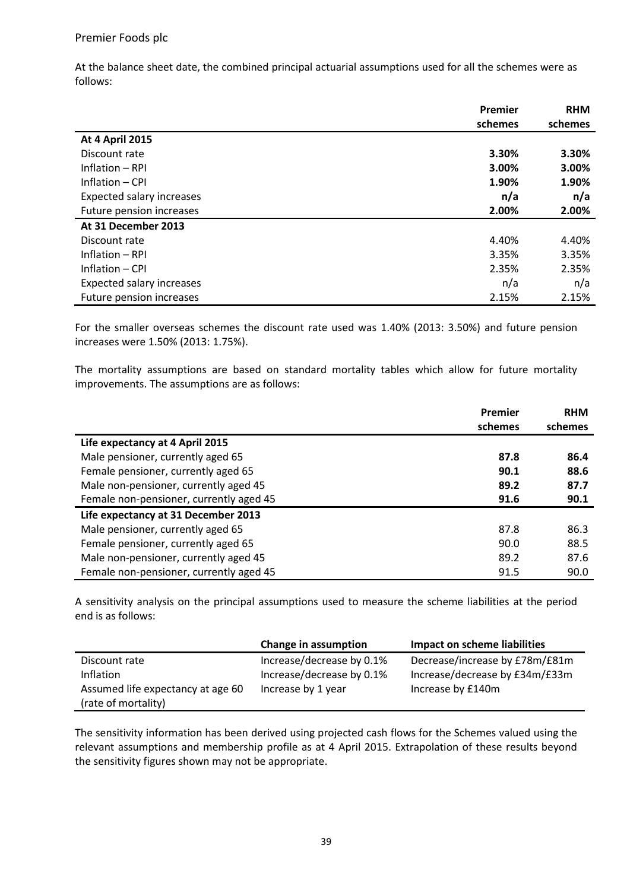At the balance sheet date, the combined principal actuarial assumptions used for all the schemes were as follows:

|                                  | Premier | <b>RHM</b> |
|----------------------------------|---------|------------|
|                                  | schemes | schemes    |
| <b>At 4 April 2015</b>           |         |            |
| Discount rate                    | 3.30%   | 3.30%      |
| Inflation - RPI                  | 3.00%   | 3.00%      |
| Inflation – CPI                  | 1.90%   | 1.90%      |
| <b>Expected salary increases</b> | n/a     | n/a        |
| Future pension increases         | 2.00%   | 2.00%      |
| At 31 December 2013              |         |            |
| Discount rate                    | 4.40%   | 4.40%      |
| Inflation - RPI                  | 3.35%   | 3.35%      |
| Inflation – CPI                  | 2.35%   | 2.35%      |
| <b>Expected salary increases</b> | n/a     | n/a        |
| Future pension increases         | 2.15%   | 2.15%      |

For the smaller overseas schemes the discount rate used was 1.40% (2013: 3.50%) and future pension increases were 1.50% (2013: 1.75%).

The mortality assumptions are based on standard mortality tables which allow for future mortality improvements. The assumptions are as follows:

|                                         | Premier | <b>RHM</b> |
|-----------------------------------------|---------|------------|
|                                         | schemes | schemes    |
| Life expectancy at 4 April 2015         |         |            |
| Male pensioner, currently aged 65       | 87.8    | 86.4       |
| Female pensioner, currently aged 65     | 90.1    | 88.6       |
| Male non-pensioner, currently aged 45   | 89.2    | 87.7       |
| Female non-pensioner, currently aged 45 | 91.6    | 90.1       |
| Life expectancy at 31 December 2013     |         |            |
| Male pensioner, currently aged 65       | 87.8    | 86.3       |
| Female pensioner, currently aged 65     | 90.0    | 88.5       |
| Male non-pensioner, currently aged 45   | 89.2    | 87.6       |
| Female non-pensioner, currently aged 45 | 91.5    | 90.0       |

A sensitivity analysis on the principal assumptions used to measure the scheme liabilities at the period end is as follows:

|                                   | Change in assumption      | <b>Impact on scheme liabilities</b> |
|-----------------------------------|---------------------------|-------------------------------------|
| Discount rate                     | Increase/decrease by 0.1% | Decrease/increase by £78m/£81m      |
| <b>Inflation</b>                  | Increase/decrease by 0.1% | Increase/decrease by £34m/£33m      |
| Assumed life expectancy at age 60 | Increase by 1 year        | Increase by £140m                   |
| (rate of mortality)               |                           |                                     |

The sensitivity information has been derived using projected cash flows for the Schemes valued using the relevant assumptions and membership profile as at 4 April 2015. Extrapolation of these results beyond the sensitivity figures shown may not be appropriate.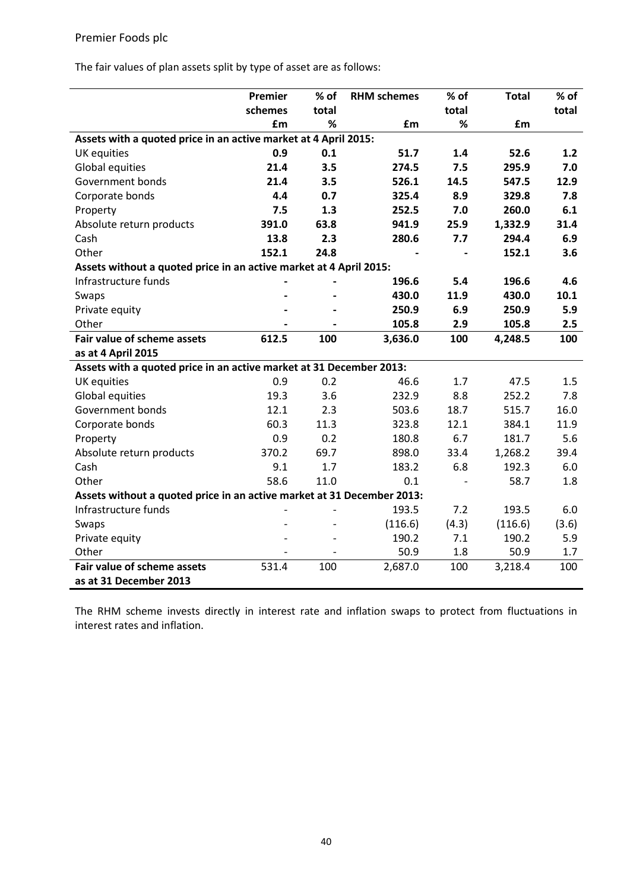The fair values of plan assets split by type of asset are as follows:

|                                                                        | Premier | % of  | <b>RHM</b> schemes | % of  | <b>Total</b> | % of  |
|------------------------------------------------------------------------|---------|-------|--------------------|-------|--------------|-------|
|                                                                        | schemes | total |                    | total |              | total |
|                                                                        | £m      | %     | £m                 | %     | £m           |       |
| Assets with a quoted price in an active market at 4 April 2015:        |         |       |                    |       |              |       |
| <b>UK</b> equities                                                     | 0.9     | 0.1   | 51.7               | 1.4   | 52.6         | 1.2   |
| Global equities                                                        | 21.4    | 3.5   | 274.5              | 7.5   | 295.9        | 7.0   |
| Government bonds                                                       | 21.4    | 3.5   | 526.1              | 14.5  | 547.5        | 12.9  |
| Corporate bonds                                                        | 4.4     | 0.7   | 325.4              | 8.9   | 329.8        | 7.8   |
| Property                                                               | 7.5     | 1.3   | 252.5              | 7.0   | 260.0        | 6.1   |
| Absolute return products                                               | 391.0   | 63.8  | 941.9              | 25.9  | 1,332.9      | 31.4  |
| Cash                                                                   | 13.8    | 2.3   | 280.6              | 7.7   | 294.4        | 6.9   |
| Other                                                                  | 152.1   | 24.8  |                    |       | 152.1        | 3.6   |
| Assets without a quoted price in an active market at 4 April 2015:     |         |       |                    |       |              |       |
| Infrastructure funds                                                   |         |       | 196.6              | 5.4   | 196.6        | 4.6   |
| Swaps                                                                  |         |       | 430.0              | 11.9  | 430.0        | 10.1  |
| Private equity                                                         |         |       | 250.9              | 6.9   | 250.9        | 5.9   |
| Other                                                                  |         |       | 105.8              | 2.9   | 105.8        | 2.5   |
| Fair value of scheme assets                                            | 612.5   | 100   | 3,636.0            | 100   | 4,248.5      | 100   |
| as at 4 April 2015                                                     |         |       |                    |       |              |       |
| Assets with a quoted price in an active market at 31 December 2013:    |         |       |                    |       |              |       |
| <b>UK</b> equities                                                     | 0.9     | 0.2   | 46.6               | 1.7   | 47.5         | 1.5   |
| Global equities                                                        | 19.3    | 3.6   | 232.9              | 8.8   | 252.2        | 7.8   |
| Government bonds                                                       | 12.1    | 2.3   | 503.6              | 18.7  | 515.7        | 16.0  |
| Corporate bonds                                                        | 60.3    | 11.3  | 323.8              | 12.1  | 384.1        | 11.9  |
| Property                                                               | 0.9     | 0.2   | 180.8              | 6.7   | 181.7        | 5.6   |
| Absolute return products                                               | 370.2   | 69.7  | 898.0              | 33.4  | 1,268.2      | 39.4  |
| Cash                                                                   | 9.1     | 1.7   | 183.2              | 6.8   | 192.3        | 6.0   |
| Other                                                                  | 58.6    | 11.0  | 0.1                |       | 58.7         | 1.8   |
| Assets without a quoted price in an active market at 31 December 2013: |         |       |                    |       |              |       |
| Infrastructure funds                                                   |         |       | 193.5              | 7.2   | 193.5        | 6.0   |
| Swaps                                                                  |         |       | (116.6)            | (4.3) | (116.6)      | (3.6) |
| Private equity                                                         |         |       | 190.2              | 7.1   | 190.2        | 5.9   |
| Other                                                                  |         |       | 50.9               | 1.8   | 50.9         | 1.7   |
| <b>Fair value of scheme assets</b>                                     | 531.4   | 100   | 2,687.0            | 100   | 3,218.4      | 100   |
| as at 31 December 2013                                                 |         |       |                    |       |              |       |

The RHM scheme invests directly in interest rate and inflation swaps to protect from fluctuations in interest rates and inflation.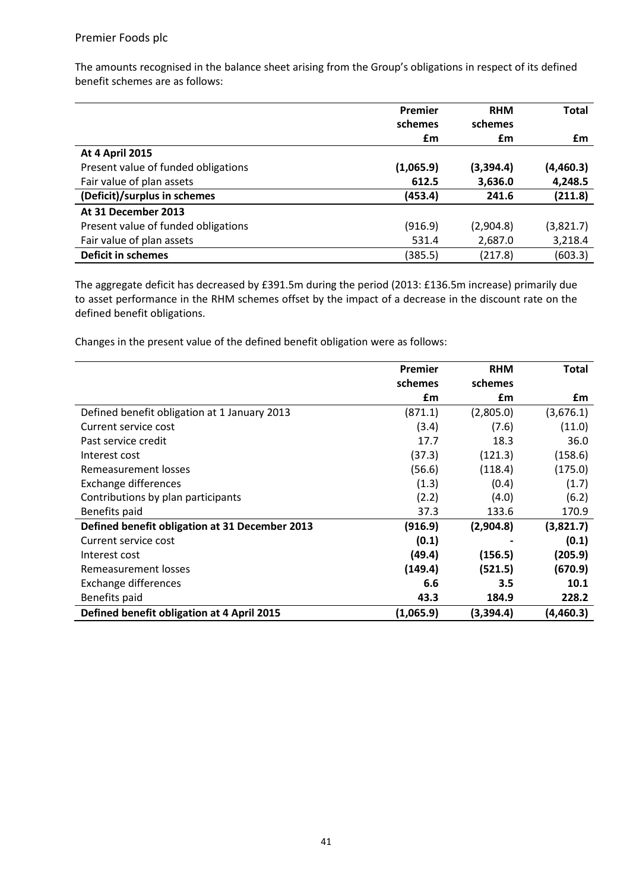The amounts recognised in the balance sheet arising from the Group's obligations in respect of its defined benefit schemes are as follows:

|                                     | Premier   | <b>RHM</b> | <b>Total</b> |
|-------------------------------------|-----------|------------|--------------|
|                                     | schemes   | schemes    |              |
|                                     | £m        | £m         | £m           |
| <b>At 4 April 2015</b>              |           |            |              |
| Present value of funded obligations | (1,065.9) | (3,394.4)  | (4,460.3)    |
| Fair value of plan assets           | 612.5     | 3,636.0    | 4,248.5      |
| (Deficit)/surplus in schemes        | (453.4)   | 241.6      | (211.8)      |
| At 31 December 2013                 |           |            |              |
| Present value of funded obligations | (916.9)   | (2,904.8)  | (3,821.7)    |
| Fair value of plan assets           | 531.4     | 2,687.0    | 3,218.4      |
| <b>Deficit in schemes</b>           | (385.5)   | (217.8)    | (603.3)      |

The aggregate deficit has decreased by £391.5m during the period (2013: £136.5m increase) primarily due to asset performance in the RHM schemes offset by the impact of a decrease in the discount rate on the defined benefit obligations.

Changes in the present value of the defined benefit obligation were as follows:

|                                                | Premier   | <b>RHM</b> | <b>Total</b> |
|------------------------------------------------|-----------|------------|--------------|
|                                                | schemes   | schemes    |              |
|                                                | £m        | £m         | £m           |
| Defined benefit obligation at 1 January 2013   | (871.1)   | (2,805.0)  | (3,676.1)    |
| Current service cost                           | (3.4)     | (7.6)      | (11.0)       |
| Past service credit                            | 17.7      | 18.3       | 36.0         |
| Interest cost                                  | (37.3)    | (121.3)    | (158.6)      |
| Remeasurement losses                           | (56.6)    | (118.4)    | (175.0)      |
| Exchange differences                           | (1.3)     | (0.4)      | (1.7)        |
| Contributions by plan participants             | (2.2)     | (4.0)      | (6.2)        |
| Benefits paid                                  | 37.3      | 133.6      | 170.9        |
| Defined benefit obligation at 31 December 2013 | (916.9)   | (2,904.8)  | (3,821.7)    |
| Current service cost                           | (0.1)     |            | (0.1)        |
| Interest cost                                  | (49.4)    | (156.5)    | (205.9)      |
| Remeasurement losses                           | (149.4)   | (521.5)    | (670.9)      |
| <b>Exchange differences</b>                    | 6.6       | 3.5        | 10.1         |
| Benefits paid                                  | 43.3      | 184.9      | 228.2        |
| Defined benefit obligation at 4 April 2015     | (1,065.9) | (3,394.4)  | (4,460.3)    |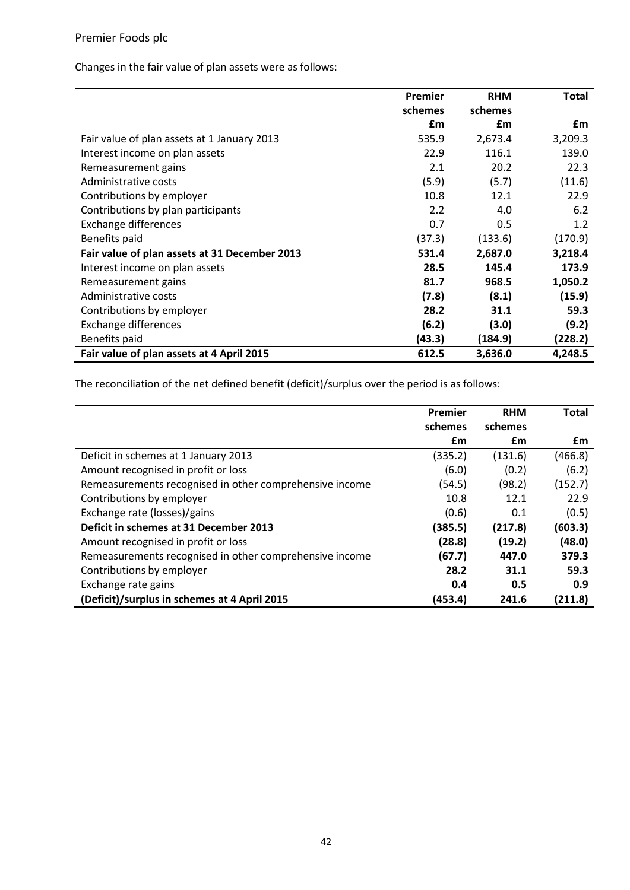Changes in the fair value of plan assets were as follows:

|                                               | Premier | <b>RHM</b> | Total   |
|-----------------------------------------------|---------|------------|---------|
|                                               | schemes | schemes    |         |
|                                               | £m      | £m         | £m      |
| Fair value of plan assets at 1 January 2013   | 535.9   | 2,673.4    | 3,209.3 |
| Interest income on plan assets                | 22.9    | 116.1      | 139.0   |
| Remeasurement gains                           | 2.1     | 20.2       | 22.3    |
| Administrative costs                          | (5.9)   | (5.7)      | (11.6)  |
| Contributions by employer                     | 10.8    | 12.1       | 22.9    |
| Contributions by plan participants            | 2.2     | 4.0        | 6.2     |
| <b>Exchange differences</b>                   | 0.7     | 0.5        | 1.2     |
| Benefits paid                                 | (37.3)  | (133.6)    | (170.9) |
| Fair value of plan assets at 31 December 2013 | 531.4   | 2,687.0    | 3,218.4 |
| Interest income on plan assets                | 28.5    | 145.4      | 173.9   |
| Remeasurement gains                           | 81.7    | 968.5      | 1,050.2 |
| Administrative costs                          | (7.8)   | (8.1)      | (15.9)  |
| Contributions by employer                     | 28.2    | 31.1       | 59.3    |
| <b>Exchange differences</b>                   | (6.2)   | (3.0)      | (9.2)   |
| Benefits paid                                 | (43.3)  | (184.9)    | (228.2) |
| Fair value of plan assets at 4 April 2015     | 612.5   | 3,636.0    | 4,248.5 |

The reconciliation of the net defined benefit (deficit)/surplus over the period is as follows:

|                                                         | Premier<br>schemes | <b>RHM</b><br>schemes | <b>Total</b> |
|---------------------------------------------------------|--------------------|-----------------------|--------------|
|                                                         | £m                 | £m                    | £m           |
| Deficit in schemes at 1 January 2013                    | (335.2)            | (131.6)               | (466.8)      |
| Amount recognised in profit or loss                     | (6.0)              | (0.2)                 | (6.2)        |
| Remeasurements recognised in other comprehensive income | (54.5)             | (98.2)                | (152.7)      |
| Contributions by employer                               | 10.8               | 12.1                  | 22.9         |
| Exchange rate (losses)/gains                            | (0.6)              | 0.1                   | (0.5)        |
| Deficit in schemes at 31 December 2013                  | (385.5)            | (217.8)               | (603.3)      |
| Amount recognised in profit or loss                     | (28.8)             | (19.2)                | (48.0)       |
| Remeasurements recognised in other comprehensive income | (67.7)             | 447.0                 | 379.3        |
| Contributions by employer                               | 28.2               | 31.1                  | 59.3         |
| Exchange rate gains                                     | 0.4                | 0.5                   | 0.9          |
| (Deficit)/surplus in schemes at 4 April 2015            | (453.4)            | 241.6                 | (211.8)      |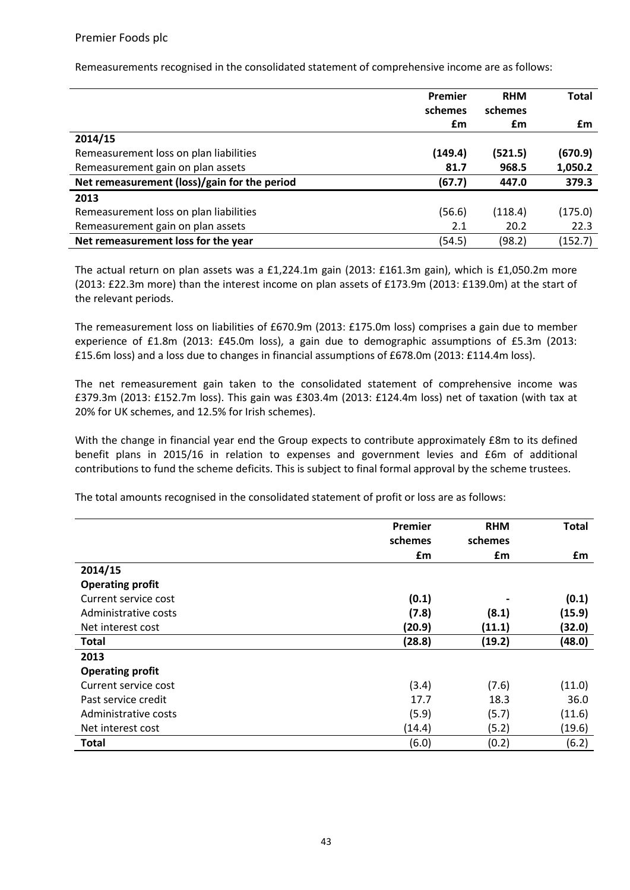Remeasurements recognised in the consolidated statement of comprehensive income are as follows:

|                                              | Premier | <b>RHM</b> | Total   |
|----------------------------------------------|---------|------------|---------|
|                                              | schemes | schemes    |         |
|                                              | £m      | £m         | £m      |
| 2014/15                                      |         |            |         |
| Remeasurement loss on plan liabilities       | (149.4) | (521.5)    | (670.9) |
| Remeasurement gain on plan assets            | 81.7    | 968.5      | 1,050.2 |
| Net remeasurement (loss)/gain for the period | (67.7)  | 447.0      | 379.3   |
| 2013                                         |         |            |         |
| Remeasurement loss on plan liabilities       | (56.6)  | (118.4)    | (175.0) |
| Remeasurement gain on plan assets            | 2.1     | 20.2       | 22.3    |
| Net remeasurement loss for the year          | (54.5)  | (98.2)     | (152.7) |

The actual return on plan assets was a £1,224.1m gain (2013: £161.3m gain), which is £1,050.2m more (2013: £22.3m more) than the interest income on plan assets of £173.9m (2013: £139.0m) at the start of the relevant periods.

The remeasurement loss on liabilities of £670.9m (2013: £175.0m loss) comprises a gain due to member experience of £1.8m (2013: £45.0m loss), a gain due to demographic assumptions of £5.3m (2013: £15.6m loss) and a loss due to changes in financial assumptions of £678.0m (2013: £114.4m loss).

The net remeasurement gain taken to the consolidated statement of comprehensive income was £379.3m (2013: £152.7m loss). This gain was £303.4m (2013: £124.4m loss) net of taxation (with tax at 20% for UK schemes, and 12.5% for Irish schemes).

With the change in financial year end the Group expects to contribute approximately £8m to its defined benefit plans in 2015/16 in relation to expenses and government levies and £6m of additional contributions to fund the scheme deficits. This is subject to final formal approval by the scheme trustees.

The total amounts recognised in the consolidated statement of profit or loss are as follows:

|                         | Premier | <b>RHM</b> | <b>Total</b> |
|-------------------------|---------|------------|--------------|
|                         | schemes | schemes    |              |
|                         | £m      | £m         | £m           |
| 2014/15                 |         |            |              |
| <b>Operating profit</b> |         |            |              |
| Current service cost    | (0.1)   |            | (0.1)        |
| Administrative costs    | (7.8)   | (8.1)      | (15.9)       |
| Net interest cost       | (20.9)  | (11.1)     | (32.0)       |
| Total                   | (28.8)  | (19.2)     | (48.0)       |
| 2013                    |         |            |              |
| <b>Operating profit</b> |         |            |              |
| Current service cost    | (3.4)   | (7.6)      | (11.0)       |
| Past service credit     | 17.7    | 18.3       | 36.0         |
| Administrative costs    | (5.9)   | (5.7)      | (11.6)       |
| Net interest cost       | (14.4)  | (5.2)      | (19.6)       |
| <b>Total</b>            | (6.0)   | (0.2)      | (6.2)        |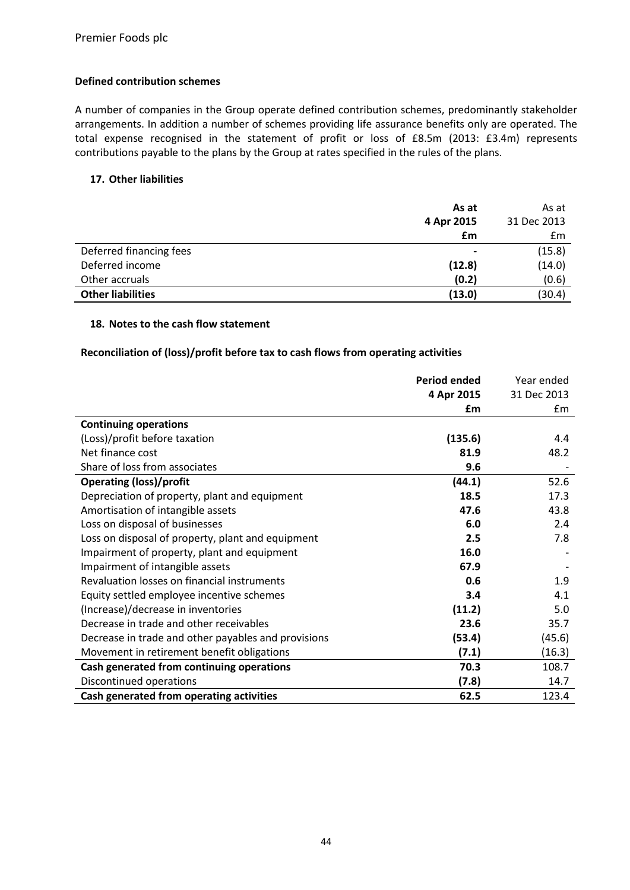## **Defined contribution schemes**

A number of companies in the Group operate defined contribution schemes, predominantly stakeholder arrangements. In addition a number of schemes providing life assurance benefits only are operated. The total expense recognised in the statement of profit or loss of £8.5m (2013: £3.4m) represents contributions payable to the plans by the Group at rates specified in the rules of the plans.

## **17. Other liabilities**

|                          | As at          | As at       |
|--------------------------|----------------|-------------|
|                          | 4 Apr 2015     | 31 Dec 2013 |
|                          | £m             | Em          |
| Deferred financing fees  | $\blacksquare$ | (15.8)      |
| Deferred income          | (12.8)         | (14.0)      |
| Other accruals           | (0.2)          | (0.6)       |
| <b>Other liabilities</b> | (13.0)         | (30.4)      |

## **18. Notes to the cash flow statement**

## **Reconciliation of (loss)/profit before tax to cash flows from operating activities**

|                                                     | <b>Period ended</b> | Year ended  |
|-----------------------------------------------------|---------------------|-------------|
|                                                     | 4 Apr 2015          | 31 Dec 2013 |
|                                                     | £m                  | £m          |
| <b>Continuing operations</b>                        |                     |             |
| (Loss)/profit before taxation                       | (135.6)             | 4.4         |
| Net finance cost                                    | 81.9                | 48.2        |
| Share of loss from associates                       | 9.6                 |             |
| <b>Operating (loss)/profit</b>                      | (44.1)              | 52.6        |
| Depreciation of property, plant and equipment       | 18.5                | 17.3        |
| Amortisation of intangible assets                   | 47.6                | 43.8        |
| Loss on disposal of businesses                      | 6.0                 | 2.4         |
| Loss on disposal of property, plant and equipment   | 2.5                 | 7.8         |
| Impairment of property, plant and equipment         | 16.0                |             |
| Impairment of intangible assets                     | 67.9                |             |
| Revaluation losses on financial instruments         | 0.6                 | 1.9         |
| Equity settled employee incentive schemes           | 3.4                 | 4.1         |
| (Increase)/decrease in inventories                  | (11.2)              | 5.0         |
| Decrease in trade and other receivables             | 23.6                | 35.7        |
| Decrease in trade and other payables and provisions | (53.4)              | (45.6)      |
| Movement in retirement benefit obligations          | (7.1)               | (16.3)      |
| Cash generated from continuing operations           | 70.3                | 108.7       |
| Discontinued operations                             | (7.8)               | 14.7        |
| Cash generated from operating activities            | 62.5                | 123.4       |